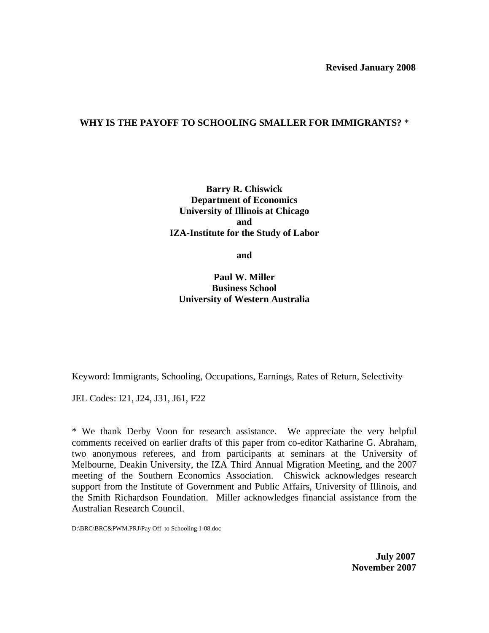## **WHY IS THE PAYOFF TO SCHOOLING SMALLER FOR IMMIGRANTS?** \*

**Barry R. Chiswick Department of Economics University of Illinois at Chicago and IZA-Institute for the Study of Labor** 

**and** 

**Paul W. Miller Business School University of Western Australia** 

Keyword: Immigrants, Schooling, Occupations, Earnings, Rates of Return, Selectivity

JEL Codes: I21, J24, J31, J61, F22

\* We thank Derby Voon for research assistance. We appreciate the very helpful comments received on earlier drafts of this paper from co-editor Katharine G. Abraham, two anonymous referees, and from participants at seminars at the University of Melbourne, Deakin University, the IZA Third Annual Migration Meeting, and the 2007 meeting of the Southern Economics Association. Chiswick acknowledges research support from the Institute of Government and Public Affairs, University of Illinois, and the Smith Richardson Foundation. Miller acknowledges financial assistance from the Australian Research Council.

D:\BRC\BRC&PWM.PRJ\Pay Off to Schooling 1-08.doc

 **July 2007 November 2007**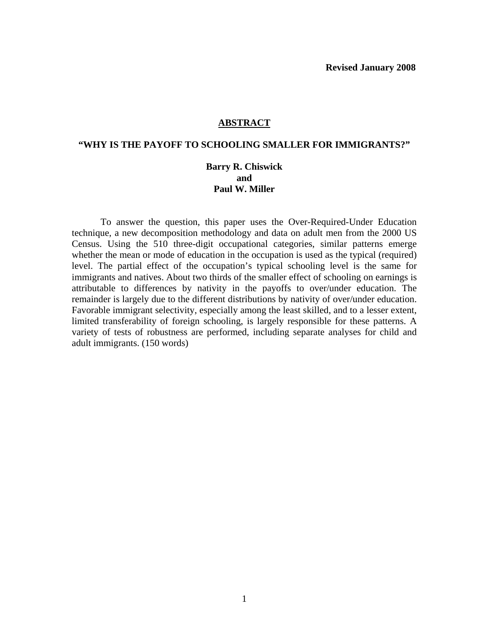## **ABSTRACT**

## **"WHY IS THE PAYOFF TO SCHOOLING SMALLER FOR IMMIGRANTS?"**

### **Barry R. Chiswick and Paul W. Miller**

 To answer the question, this paper uses the Over-Required-Under Education technique, a new decomposition methodology and data on adult men from the 2000 US Census. Using the 510 three-digit occupational categories, similar patterns emerge whether the mean or mode of education in the occupation is used as the typical (required) level. The partial effect of the occupation's typical schooling level is the same for immigrants and natives. About two thirds of the smaller effect of schooling on earnings is attributable to differences by nativity in the payoffs to over/under education. The remainder is largely due to the different distributions by nativity of over/under education. Favorable immigrant selectivity, especially among the least skilled, and to a lesser extent, limited transferability of foreign schooling, is largely responsible for these patterns. A variety of tests of robustness are performed, including separate analyses for child and adult immigrants. (150 words)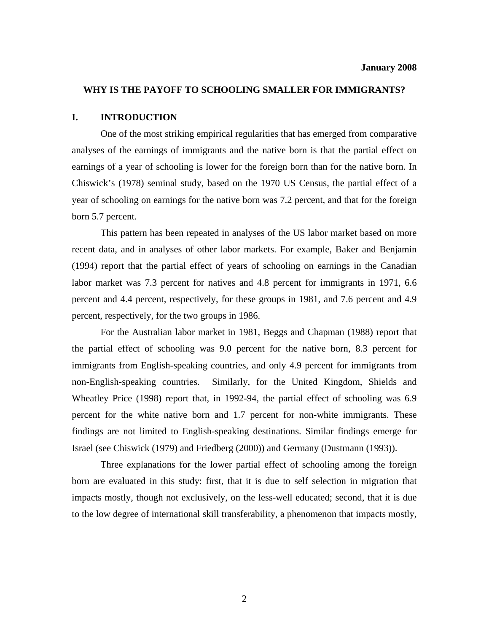## **WHY IS THE PAYOFF TO SCHOOLING SMALLER FOR IMMIGRANTS?**

#### **I. INTRODUCTION**

 One of the most striking empirical regularities that has emerged from comparative analyses of the earnings of immigrants and the native born is that the partial effect on earnings of a year of schooling is lower for the foreign born than for the native born. In Chiswick's (1978) seminal study, based on the 1970 US Census, the partial effect of a year of schooling on earnings for the native born was 7.2 percent, and that for the foreign born 5.7 percent.

 This pattern has been repeated in analyses of the US labor market based on more recent data, and in analyses of other labor markets. For example, Baker and Benjamin (1994) report that the partial effect of years of schooling on earnings in the Canadian labor market was 7.3 percent for natives and 4.8 percent for immigrants in 1971, 6.6 percent and 4.4 percent, respectively, for these groups in 1981, and 7.6 percent and 4.9 percent, respectively, for the two groups in 1986.

 For the Australian labor market in 1981, Beggs and Chapman (1988) report that the partial effect of schooling was 9.0 percent for the native born, 8.3 percent for immigrants from English-speaking countries, and only 4.9 percent for immigrants from non-English-speaking countries. Similarly, for the United Kingdom, Shields and Wheatley Price (1998) report that, in 1992-94, the partial effect of schooling was 6.9 percent for the white native born and 1.7 percent for non-white immigrants. These findings are not limited to English-speaking destinations. Similar findings emerge for Israel (see Chiswick (1979) and Friedberg (2000)) and Germany (Dustmann (1993)).

Three explanations for the lower partial effect of schooling among the foreign born are evaluated in this study: first, that it is due to self selection in migration that impacts mostly, though not exclusively, on the less-well educated; second, that it is due to the low degree of international skill transferability, a phenomenon that impacts mostly,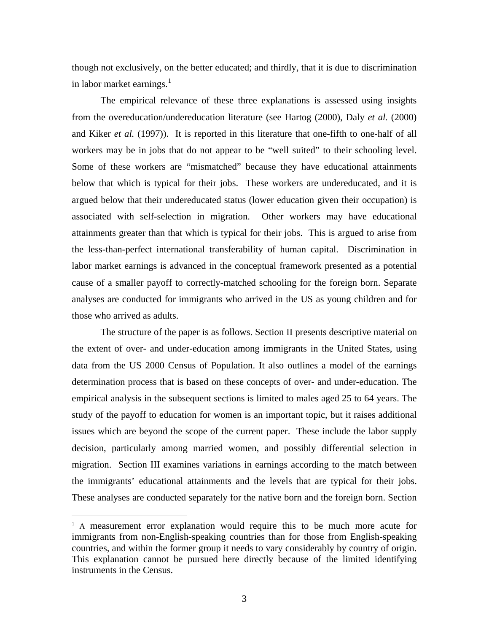though not exclusively, on the better educated; and thirdly, that it is due to discrimination in labor market earnings. $<sup>1</sup>$  $<sup>1</sup>$  $<sup>1</sup>$ </sup>

 The empirical relevance of these three explanations is assessed using insights from the overeducation/undereducation literature (see Hartog (2000), Daly *et al.* (2000) and Kiker *et al.* (1997)). It is reported in this literature that one-fifth to one-half of all workers may be in jobs that do not appear to be "well suited" to their schooling level. Some of these workers are "mismatched" because they have educational attainments below that which is typical for their jobs. These workers are undereducated, and it is argued below that their undereducated status (lower education given their occupation) is associated with self-selection in migration. Other workers may have educational attainments greater than that which is typical for their jobs. This is argued to arise from the less-than-perfect international transferability of human capital. Discrimination in labor market earnings is advanced in the conceptual framework presented as a potential cause of a smaller payoff to correctly-matched schooling for the foreign born. Separate analyses are conducted for immigrants who arrived in the US as young children and for those who arrived as adults.

 The structure of the paper is as follows. Section II presents descriptive material on the extent of over- and under-education among immigrants in the United States, using data from the US 2000 Census of Population. It also outlines a model of the earnings determination process that is based on these concepts of over- and under-education. The empirical analysis in the subsequent sections is limited to males aged 25 to 64 years. The study of the payoff to education for women is an important topic, but it raises additional issues which are beyond the scope of the current paper. These include the labor supply decision, particularly among married women, and possibly differential selection in migration. Section III examines variations in earnings according to the match between the immigrants' educational attainments and the levels that are typical for their jobs. These analyses are conducted separately for the native born and the foreign born. Section

<span id="page-3-0"></span><sup>&</sup>lt;sup>1</sup> A measurement error explanation would require this to be much more acute for immigrants from non-English-speaking countries than for those from English-speaking countries, and within the former group it needs to vary considerably by country of origin. This explanation cannot be pursued here directly because of the limited identifying instruments in the Census.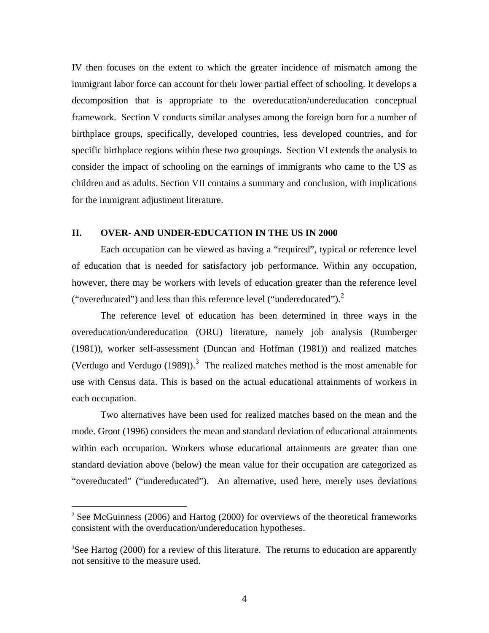IV then focuses on the extent to which the greater incidence of mismatch among the immigrant labor force can account for their lower partial effect of schooling. It develops a decomposition that is appropriate to the overeducation/undereducation conceptual framework. Section V conducts similar analyses among the foreign born for a number of birthplace groups, specifically, developed countries, less developed countries, and for specific birthplace regions within these two groupings. Section VI extends the analysis to consider the impact of schooling on the earnings of immigrants who came to the US as children and as adults. Section VII contains a summary and conclusion, with implications for the immigrant adjustment literature.

## **II. OVER- AND UNDER-EDUCATION IN THE US IN 2000**

 Each occupation can be viewed as having a "required", typical or reference level of education that is needed for satisfactory job performance. Within any occupation, however, there may be workers with levels of education greater than the reference level ("overeducated") and less than this reference level ("undereducated"). $2$ 

 The reference level of education has been determined in three ways in the overeducation/undereducation (ORU) literature, namely job analysis (Rumberger (1981)), worker self-assessment (Duncan and Hoffman (1981)) and realized matches (Verdugo and Verdugo  $(1989)$ ).<sup>[3](#page-4-1)</sup> The realized matches method is the most amenable for use with Census data. This is based on the actual educational attainments of workers in each occupation.

Two alternatives have been used for realized matches based on the mean and the mode. Groot (1996) considers the mean and standard deviation of educational attainments within each occupation. Workers whose educational attainments are greater than one standard deviation above (below) the mean value for their occupation are categorized as "overeducated" ("undereducated"). An alternative, used here, merely uses deviations

<span id="page-4-0"></span> $2$  See McGuinness (2006) and Hartog (2000) for overviews of the theoretical frameworks consistent with the overducation/undereducation hypotheses.

<span id="page-4-1"></span><sup>&</sup>lt;sup>3</sup>See Hartog (2000) for a review of this literature. The returns to education are apparently not sensitive to the measure used.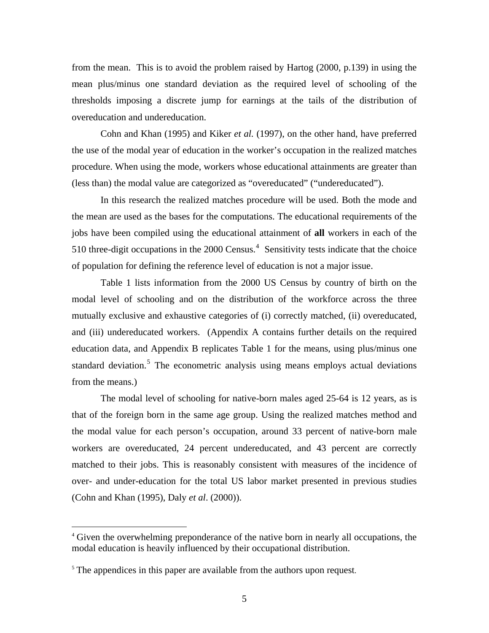from the mean. This is to avoid the problem raised by Hartog (2000, p.139) in using the mean plus/minus one standard deviation as the required level of schooling of the thresholds imposing a discrete jump for earnings at the tails of the distribution of overeducation and undereducation.

 Cohn and Khan (1995) and Kiker *et al.* (1997), on the other hand, have preferred the use of the modal year of education in the worker's occupation in the realized matches procedure. When using the mode, workers whose educational attainments are greater than (less than) the modal value are categorized as "overeducated" ("undereducated").

In this research the realized matches procedure will be used. Both the mode and the mean are used as the bases for the computations. The educational requirements of the jobs have been compiled using the educational attainment of **all** workers in each of the 510 three-digit occupations in the 2000 Census.<sup>[4](#page-5-0)</sup> Sensitivity tests indicate that the choice of population for defining the reference level of education is not a major issue.

 Table 1 lists information from the 2000 US Census by country of birth on the modal level of schooling and on the distribution of the workforce across the three mutually exclusive and exhaustive categories of (i) correctly matched, (ii) overeducated, and (iii) undereducated workers. (Appendix A contains further details on the required education data, and Appendix B replicates Table 1 for the means, using plus/minus one standard deviation.<sup>[5](#page-5-1)</sup> The econometric analysis using means employs actual deviations from the means.)

 The modal level of schooling for native-born males aged 25-64 is 12 years, as is that of the foreign born in the same age group. Using the realized matches method and the modal value for each person's occupation, around 33 percent of native-born male workers are overeducated, 24 percent undereducated, and 43 percent are correctly matched to their jobs. This is reasonably consistent with measures of the incidence of over- and under-education for the total US labor market presented in previous studies (Cohn and Khan (1995), Daly *et al*. (2000)).

<span id="page-5-0"></span><sup>&</sup>lt;sup>4</sup> Given the overwhelming preponderance of the native born in nearly all occupations, the modal education is heavily influenced by their occupational distribution.

<span id="page-5-1"></span> $5$  The appendices in this paper are available from the authors upon request.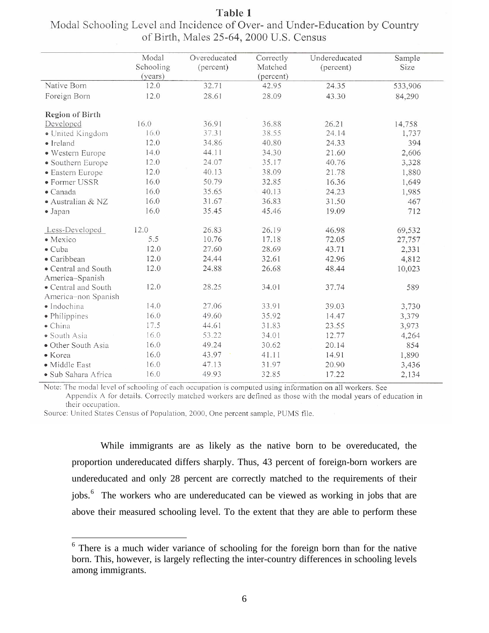|                                            | Modal<br>Schooling<br>(years) | Overeducated<br>(percent) | Correctly<br>Matched<br>(percent) | Undereducated<br>(percent) | Sample<br>Size |
|--------------------------------------------|-------------------------------|---------------------------|-----------------------------------|----------------------------|----------------|
| Native Born                                | 12.0                          | 32.71                     | 42.95                             | 24.35                      | 533,906        |
| Foreign Born                               | 12.0                          | 28.61                     | 28.09                             | 43.30                      | 84,290         |
| Region of Birth                            |                               |                           |                                   |                            |                |
| Developed                                  | 16.0                          | 36.91                     | 36.88                             | 26.21                      | 14,758         |
| · United Kingdom                           | 16.0                          | 37.31                     | 38.55                             | 24.14                      | 1,737          |
| · Ireland                                  | 12.0                          | 34.86                     | 40.80                             | 24.33                      | 394            |
| · Western Europe                           | 14.0                          | 44.11                     | 34.30                             | 21.60                      | 2,606          |
| · Southern Europe                          | 12.0                          | 24.07                     | 35.17                             | 40.76                      | 3,328          |
| • Eastern Europe                           | 12.0                          | 40.13                     | 38.09                             | 21.78                      | 1,880          |
| • Former USSR                              | 16.0                          | 50.79                     | 32.85                             | 16.36                      | 1,649          |
| $\bullet$ Canada                           | 16.0                          | 35.65                     | 40.13                             | 24.23                      | 1,985          |
| · Australian & NZ                          | 16.0                          | 31.67                     | 36.83                             | 31.50                      | 467            |
| $\bullet$ Japan                            | 16.0                          | 35.45                     | 45.46                             | 19.09                      | 712            |
| Less-Developed                             | 12.0                          | 26.83                     | 26.19                             | 46.98                      | 69,532         |
| · Mexico                                   | 5.5                           | 10.76                     | 17.18                             | 72.05                      | 27,757         |
| $\bullet$ Cuba                             | 12.0                          | 27.60                     | 28.69                             | 43.71                      | 2,331          |
| · Caribbean                                | 12.0                          | 24.44                     | 32.61                             | 42.96                      | 4,812          |
| · Central and South<br>America-Spanish     | 12.0                          | 24.88                     | 26.68                             | 48.44                      | 10,023         |
| • Central and South<br>America-non Spanish | 12.0                          | 28.25                     | 34.01                             | 37.74                      | 589            |
| · Indochina                                | 14.0                          | 27.06                     | 33.91                             | 39.03                      | 3,730          |
| · Philippines                              | 16.0                          | 49.60                     | 35.92                             | 14.47                      | 3,379          |
| $\bullet$ China                            | 17.5                          | 44.61                     | 31.83                             | 23.55                      | 3,973          |
| · South Asia                               | 16.0                          | 53.22                     | 34.01                             | 12.77                      | 4,264          |
| • Other South Asia                         | 16.0                          | 49.24                     | 30.62                             | 20.14                      | 854            |
| $\bullet$ Korea                            | 16.0                          | 43.97                     | 41.11                             | 14.91                      | 1,890          |

Table 1 Modal Schooling Level and Incidence of Over- and Under-Education by Country of Birth, Males 25-64, 2000 U.S. Census

Note: The modal level of schooling of each occupation is computed using information on all workers. See

47.13

49.93

Appendix A for details. Correctly matched workers are defined as those with the modal years of education in their occupation.

31.97

32.85

20.90

17.22

3,436

2,134

Source: United States Census of Population, 2000, One percent sample, PUMS file.

16.0

16.0

 $\overline{a}$ 

· Middle East

· Sub Sahara Africa

 While immigrants are as likely as the native born to be overeducated, the proportion undereducated differs sharply. Thus, 43 percent of foreign-born workers are undereducated and only 28 percent are correctly matched to the requirements of their jobs.<sup>[6](#page-6-0)</sup> The workers who are undereducated can be viewed as working in jobs that are above their measured schooling level. To the extent that they are able to perform these

<span id="page-6-0"></span><sup>&</sup>lt;sup>6</sup> There is a much wider variance of schooling for the foreign born than for the native born. This, however, is largely reflecting the inter-country differences in schooling levels among immigrants.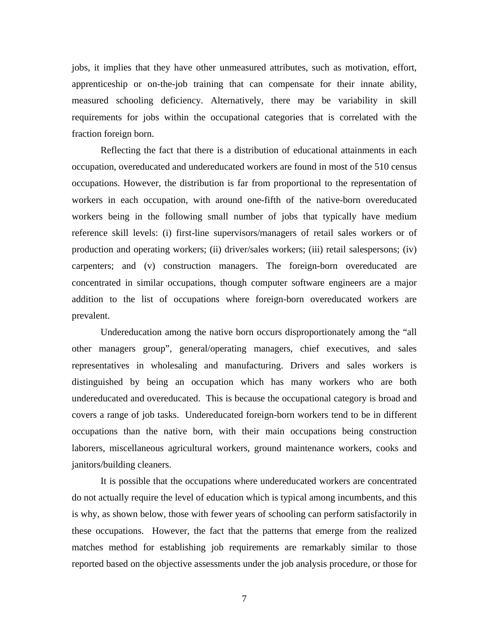jobs, it implies that they have other unmeasured attributes, such as motivation, effort, apprenticeship or on-the-job training that can compensate for their innate ability, measured schooling deficiency. Alternatively, there may be variability in skill requirements for jobs within the occupational categories that is correlated with the fraction foreign born.

Reflecting the fact that there is a distribution of educational attainments in each occupation, overeducated and undereducated workers are found in most of the 510 census occupations. However, the distribution is far from proportional to the representation of workers in each occupation, with around one-fifth of the native-born overeducated workers being in the following small number of jobs that typically have medium reference skill levels: (i) first-line supervisors/managers of retail sales workers or of production and operating workers; (ii) driver/sales workers; (iii) retail salespersons; (iv) carpenters; and (v) construction managers. The foreign-born overeducated are concentrated in similar occupations, though computer software engineers are a major addition to the list of occupations where foreign-born overeducated workers are prevalent.

Undereducation among the native born occurs disproportionately among the "all other managers group", general/operating managers, chief executives, and sales representatives in wholesaling and manufacturing. Drivers and sales workers is distinguished by being an occupation which has many workers who are both undereducated and overeducated. This is because the occupational category is broad and covers a range of job tasks. Undereducated foreign-born workers tend to be in different occupations than the native born, with their main occupations being construction laborers, miscellaneous agricultural workers, ground maintenance workers, cooks and janitors/building cleaners.

It is possible that the occupations where undereducated workers are concentrated do not actually require the level of education which is typical among incumbents, and this is why, as shown below, those with fewer years of schooling can perform satisfactorily in these occupations. However, the fact that the patterns that emerge from the realized matches method for establishing job requirements are remarkably similar to those reported based on the objective assessments under the job analysis procedure, or those for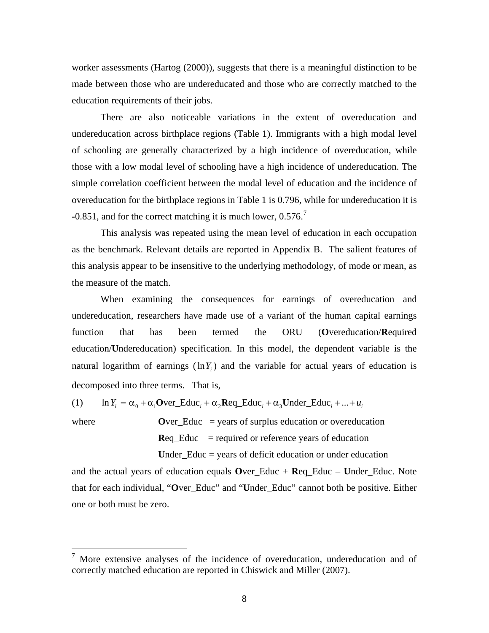worker assessments (Hartog (2000)), suggests that there is a meaningful distinction to be made between those who are undereducated and those who are correctly matched to the education requirements of their jobs.

 There are also noticeable variations in the extent of overeducation and undereducation across birthplace regions (Table 1). Immigrants with a high modal level of schooling are generally characterized by a high incidence of overeducation, while those with a low modal level of schooling have a high incidence of undereducation. The simple correlation coefficient between the modal level of education and the incidence of overeducation for the birthplace regions in Table 1 is 0.796, while for undereducation it is **-0.851, and for the correct matching it is much lower, 0.5[7](#page-8-0)6.<sup>7</sup>** 

 This analysis was repeated using the mean level of education in each occupation as the benchmark. Relevant details are reported in Appendix B. The salient features of this analysis appear to be insensitive to the underlying methodology, of mode or mean, as the measure of the match.

 When examining the consequences for earnings of overeducation and undereducation, researchers have made use of a variant of the human capital earnings function that has been termed the ORU (**O**vereducation/**R**equired education/**U**ndereducation) specification. In this model, the dependent variable is the natural logarithm of earnings  $(\ln Y_i)$  and the variable for actual years of education is decomposed into three terms. That is,

(1)  $\ln Y_i = \alpha_0 + \alpha_1 \textbf{Over\_Educ}_i + \alpha_2 \textbf{Req\_Educ}_i + \alpha_3 \textbf{Under\_Educ}_i + ... + u_i$ 

where **O**ver\_Educ = years of surplus education or overeducation **Req\_Educ** = required or reference years of education Under  $E$ duc  $=$  years of deficit education or under education

and the actual years of education equals **O**ver\_Educ + **R**eq\_Educ – **U**nder\_Educ. Note that for each individual, "**O**ver\_Educ" and "**U**nder\_Educ" cannot both be positive. Either one or both must be zero.

<span id="page-8-0"></span><sup>7</sup> More extensive analyses of the incidence of overeducation, undereducation and of correctly matched education are reported in Chiswick and Miller (2007).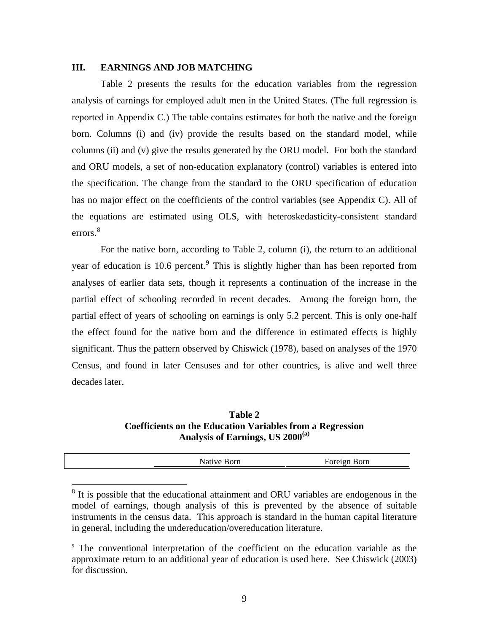## **III. EARNINGS AND JOB MATCHING**

Table 2 presents the results for the education variables from the regression analysis of earnings for employed adult men in the United States. (The full regression is reported in Appendix C.) The table contains estimates for both the native and the foreign born. Columns (i) and (iv) provide the results based on the standard model, while columns (ii) and (v) give the results generated by the ORU model. For both the standard and ORU models, a set of non-education explanatory (control) variables is entered into the specification. The change from the standard to the ORU specification of education has no major effect on the coefficients of the control variables (see Appendix C). All of the equations are estimated using OLS, with heteroskedasticity-consistent standard errors.<sup>[8](#page-9-0)</sup>

 For the native born, according to Table 2, column (i), the return to an additional year of education is 10.6 percent.<sup>[9](#page-9-1)</sup> This is slightly higher than has been reported from analyses of earlier data sets, though it represents a continuation of the increase in the partial effect of schooling recorded in recent decades. Among the foreign born, the partial effect of years of schooling on earnings is only 5.2 percent. This is only one-half the effect found for the native born and the difference in estimated effects is highly significant. Thus the pattern observed by Chiswick (1978), based on analyses of the 1970 Census, and found in later Censuses and for other countries, is alive and well three decades later.

## **Table 2 Coefficients on the Education Variables from a Regression Analysis of Earnings, US 2000(a)**

| UП<br>$1$ value<br>$ -$ | -<br>.<br>-----<br>70<br>UII<br>- --- |
|-------------------------|---------------------------------------|
|                         |                                       |

<span id="page-9-0"></span><sup>&</sup>lt;sup>8</sup> It is possible that the educational attainment and ORU variables are endogenous in the model of earnings, though analysis of this is prevented by the absence of suitable instruments in the census data. This approach is standard in the human capital literature in general, including the undereducation/overeducation literature.

<span id="page-9-1"></span><sup>9</sup> The conventional interpretation of the coefficient on the education variable as the approximate return to an additional year of education is used here. See Chiswick (2003) for discussion.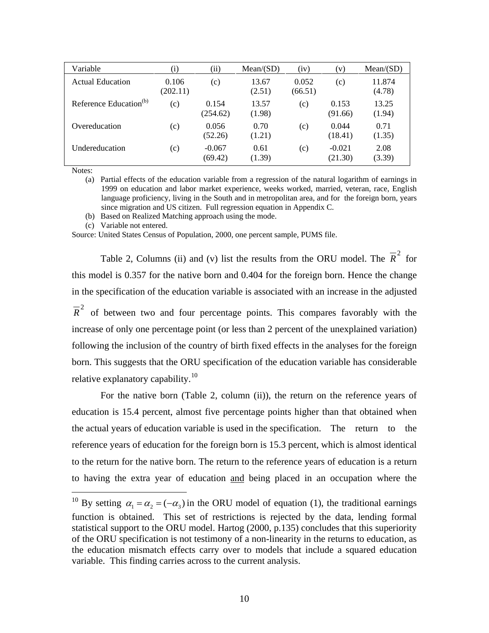| Variable                           | $\left( 1\right)$ | (i)                 | Mean(SD)        | (iv)             | (V)                 | Mean(SD)         |
|------------------------------------|-------------------|---------------------|-----------------|------------------|---------------------|------------------|
| <b>Actual Education</b>            | 0.106<br>(202.11) | (c)                 | 13.67<br>(2.51) | 0.052<br>(66.51) | (c)                 | 11.874<br>(4.78) |
| Reference Education <sup>(b)</sup> | (c)               | 0.154<br>(254.62)   | 13.57<br>(1.98) | (c)              | 0.153<br>(91.66)    | 13.25<br>(1.94)  |
| Overeducation                      | (c)               | 0.056<br>(52.26)    | 0.70<br>(1.21)  | (c)              | 0.044<br>(18.41)    | 0.71<br>(1.35)   |
| <b>Undereducation</b>              | (c)               | $-0.067$<br>(69.42) | 0.61<br>(1.39)  | (c)              | $-0.021$<br>(21.30) | 2.08<br>(3.39)   |

Notes:

 $\overline{a}$ 

(a) Partial effects of the education variable from a regression of the natural logarithm of earnings in 1999 on education and labor market experience, weeks worked, married, veteran, race, English language proficiency, living in the South and in metropolitan area, and for the foreign born, years since migration and US citizen. Full regression equation in Appendix C.

(b) Based on Realized Matching approach using the mode.

(c) Variable not entered.

Source: United States Census of Population, 2000, one percent sample, PUMS file.

Table 2, Columns (ii) and (v) list the results from the ORU model. The  $\overline{R}^2$  for this model is 0.357 for the native born and 0.404 for the foreign born. Hence the change in the specification of the education variable is associated with an increase in the adjusted  $\overline{R}^2$  of between two and four percentage points. This compares favorably with the increase of only one percentage point (or less than 2 percent of the unexplained variation) following the inclusion of the country of birth fixed effects in the analyses for the foreign born. This suggests that the ORU specification of the education variable has considerable relative explanatory capability.<sup>10</sup>

 For the native born (Table 2, column (ii)), the return on the reference years of education is 15.4 percent, almost five percentage points higher than that obtained when the actual years of education variable is used in the specification. The return to the reference years of education for the foreign born is 15.3 percent, which is almost identical to the return for the native born. The return to the reference years of education is a return to having the extra year of education and being placed in an occupation where the

<span id="page-10-0"></span><sup>&</sup>lt;sup>10</sup> By setting  $\alpha_1 = \alpha_2 = (-\alpha_3)$  in the ORU model of equation (1), the traditional earnings function is obtained. This set of restrictions is rejected by the data, lending formal statistical support to the ORU model. Hartog (2000, p.135) concludes that this superiority of the ORU specification is not testimony of a non-linearity in the returns to education, as the education mismatch effects carry over to models that include a squared education variable. This finding carries across to the current analysis.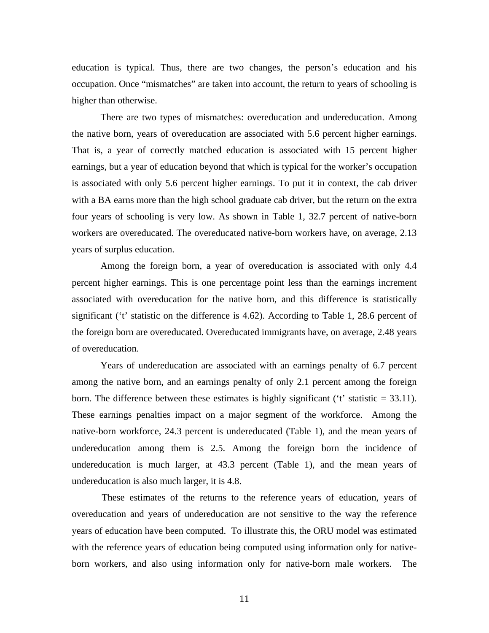education is typical. Thus, there are two changes, the person's education and his occupation. Once "mismatches" are taken into account, the return to years of schooling is higher than otherwise.

 There are two types of mismatches: overeducation and undereducation. Among the native born, years of overeducation are associated with 5.6 percent higher earnings. That is, a year of correctly matched education is associated with 15 percent higher earnings, but a year of education beyond that which is typical for the worker's occupation is associated with only 5.6 percent higher earnings. To put it in context, the cab driver with a BA earns more than the high school graduate cab driver, but the return on the extra four years of schooling is very low. As shown in Table 1, 32.7 percent of native-born workers are overeducated. The overeducated native-born workers have, on average, 2.13 years of surplus education.

 Among the foreign born, a year of overeducation is associated with only 4.4 percent higher earnings. This is one percentage point less than the earnings increment associated with overeducation for the native born, and this difference is statistically significant ('t' statistic on the difference is 4.62). According to Table 1, 28.6 percent of the foreign born are overeducated. Overeducated immigrants have, on average, 2.48 years of overeducation.

 Years of undereducation are associated with an earnings penalty of 6.7 percent among the native born, and an earnings penalty of only 2.1 percent among the foreign born. The difference between these estimates is highly significant ( $t$ ) statistic = 33.11). These earnings penalties impact on a major segment of the workforce. Among the native-born workforce, 24.3 percent is undereducated (Table 1), and the mean years of undereducation among them is 2.5. Among the foreign born the incidence of undereducation is much larger, at 43.3 percent (Table 1), and the mean years of undereducation is also much larger, it is 4.8.

These estimates of the returns to the reference years of education, years of overeducation and years of undereducation are not sensitive to the way the reference years of education have been computed. To illustrate this, the ORU model was estimated with the reference years of education being computed using information only for nativeborn workers, and also using information only for native-born male workers. The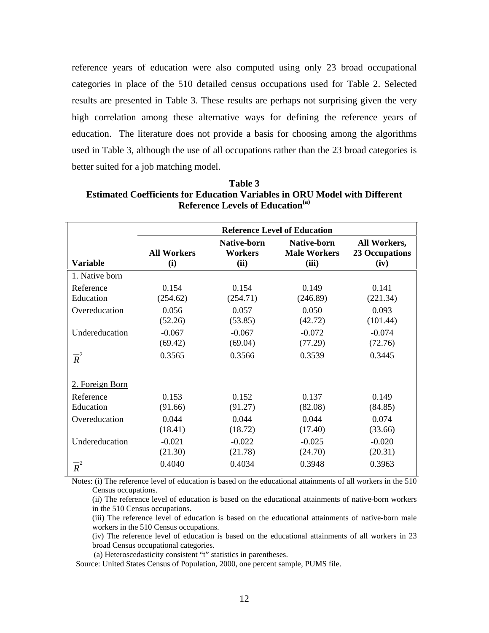reference years of education were also computed using only 23 broad occupational categories in place of the 510 detailed census occupations used for Table 2. Selected results are presented in Table 3. These results are perhaps not surprising given the very high correlation among these alternative ways for defining the reference years of education. The literature does not provide a basis for choosing among the algorithms used in Table 3, although the use of all occupations rather than the 23 broad categories is better suited for a job matching model.

|                        | <b>Reference Level of Education</b> |                                              |                                             |                                               |  |  |  |  |
|------------------------|-------------------------------------|----------------------------------------------|---------------------------------------------|-----------------------------------------------|--|--|--|--|
| <b>Variable</b>        | <b>All Workers</b><br>(i)           | <b>Native-born</b><br><b>Workers</b><br>(ii) | Native-born<br><b>Male Workers</b><br>(iii) | All Workers,<br><b>23 Occupations</b><br>(iv) |  |  |  |  |
| 1. Native born         |                                     |                                              |                                             |                                               |  |  |  |  |
| Reference<br>Education | 0.154<br>(254.62)                   | 0.154<br>(254.71)                            | 0.149<br>(246.89)                           | 0.141<br>(221.34)                             |  |  |  |  |
| Overeducation          | 0.056<br>(52.26)                    | 0.057<br>(53.85)                             | 0.050<br>(42.72)                            | 0.093<br>(101.44)                             |  |  |  |  |
| Undereducation         | $-0.067$<br>(69.42)                 | $-0.067$<br>(69.04)                          | $-0.072$<br>(77.29)                         | $-0.074$<br>(72.76)                           |  |  |  |  |
| $\overline{R}^2$       | 0.3565                              | 0.3566                                       | 0.3539                                      | 0.3445                                        |  |  |  |  |
| 2. Foreign Born        |                                     |                                              |                                             |                                               |  |  |  |  |
| Reference              | 0.153                               | 0.152                                        | 0.137                                       | 0.149                                         |  |  |  |  |
| Education              | (91.66)                             | (91.27)                                      | (82.08)                                     | (84.85)                                       |  |  |  |  |
| Overeducation          | 0.044<br>(18.41)                    | 0.044<br>(18.72)                             | 0.044<br>(17.40)                            | 0.074<br>(33.66)                              |  |  |  |  |
| Undereducation         | $-0.021$<br>(21.30)                 | $-0.022$<br>(21.78)                          | $-0.025$<br>(24.70)                         | $-0.020$<br>(20.31)                           |  |  |  |  |
| $\overline{R}^2$       | 0.4040                              | 0.4034                                       | 0.3948                                      | 0.3963                                        |  |  |  |  |

**Table 3 Estimated Coefficients for Education Variables in ORU Model with Different Reference Levels of Education(a)**

Notes: (i) The reference level of education is based on the educational attainments of all workers in the 510 Census occupations.

 (ii) The reference level of education is based on the educational attainments of native-born workers in the 510 Census occupations.

 (iii) The reference level of education is based on the educational attainments of native-born male workers in the 510 Census occupations.

 (iv) The reference level of education is based on the educational attainments of all workers in 23 broad Census occupational categories.

(a) Heteroscedasticity consistent "t" statistics in parentheses.

Source: United States Census of Population, 2000, one percent sample, PUMS file.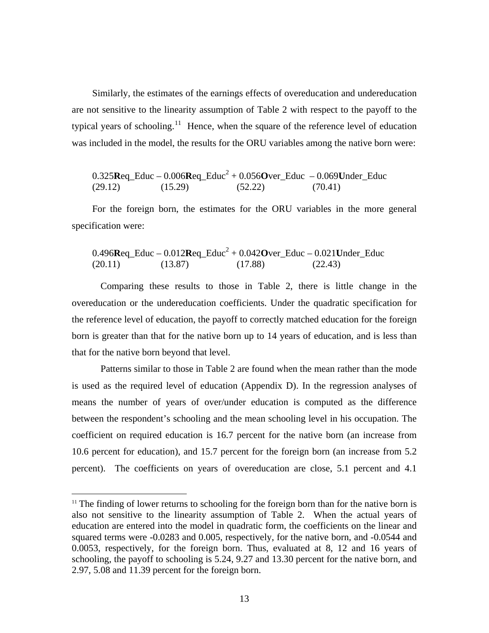Similarly, the estimates of the earnings effects of overeducation and undereducation are not sensitive to the linearity assumption of Table 2 with respect to the payoff to the typical years of schooling.<sup>[11](#page-13-0)</sup> Hence, when the square of the reference level of education was included in the model, the results for the ORU variables among the native born were:

$$
0.325 \text{Req\_Educ} - 0.006 \text{Req\_Educ}^2 + 0.056 \text{Over\_Educ} - 0.069 \text{Under\_Educ} (29.12) \qquad (15.29) \qquad (52.22) \qquad (70.41)
$$

For the foreign born, the estimates for the ORU variables in the more general specification were:

$$
0.496\text{Req\_Educ} - 0.012\text{Req\_Educ}^2 + 0.042\text{Over\_Educ} - 0.021\text{Under\_Educ} (20.11) \qquad (13.87) \qquad (17.88) \qquad (22.43)
$$

 Comparing these results to those in Table 2, there is little change in the overeducation or the undereducation coefficients. Under the quadratic specification for the reference level of education, the payoff to correctly matched education for the foreign born is greater than that for the native born up to 14 years of education, and is less than that for the native born beyond that level.

Patterns similar to those in Table 2 are found when the mean rather than the mode is used as the required level of education (Appendix D). In the regression analyses of means the number of years of over/under education is computed as the difference between the respondent's schooling and the mean schooling level in his occupation. The coefficient on required education is 16.7 percent for the native born (an increase from 10.6 percent for education), and 15.7 percent for the foreign born (an increase from 5.2 percent). The coefficients on years of overeducation are close, 5.1 percent and 4.1

<span id="page-13-0"></span> $11$  The finding of lower returns to schooling for the foreign born than for the native born is also not sensitive to the linearity assumption of Table 2. When the actual years of education are entered into the model in quadratic form, the coefficients on the linear and squared terms were -0.0283 and 0.005, respectively, for the native born, and -0.0544 and 0.0053, respectively, for the foreign born. Thus, evaluated at 8, 12 and 16 years of schooling, the payoff to schooling is 5.24, 9.27 and 13.30 percent for the native born, and 2.97, 5.08 and 11.39 percent for the foreign born.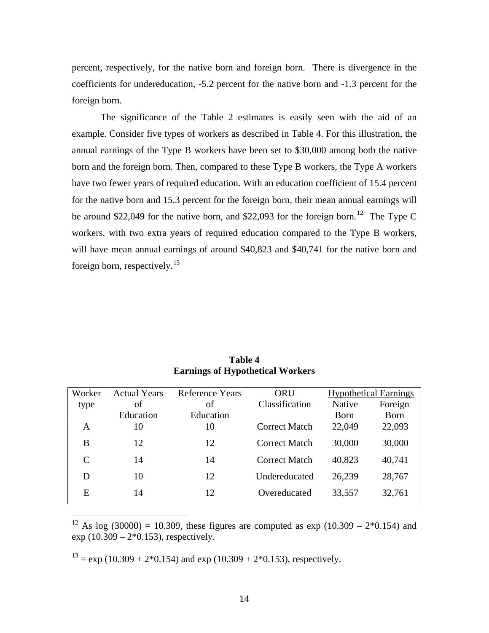percent, respectively, for the native born and foreign born. There is divergence in the coefficients for undereducation, -5.2 percent for the native born and -1.3 percent for the foreign born.

The significance of the Table 2 estimates is easily seen with the aid of an example. Consider five types of workers as described in Table 4. For this illustration, the annual earnings of the Type B workers have been set to \$30,000 among both the native born and the foreign born. Then, compared to these Type B workers, the Type A workers have two fewer years of required education. With an education coefficient of 15.4 percent for the native born and 15.3 percent for the foreign born, their mean annual earnings will be around \$22,049 for the native born, and \$22,093 for the foreign born.<sup>[12](#page-14-0)</sup> The Type C workers, with two extra years of required education compared to the Type B workers, will have mean annual earnings of around \$40,823 and \$40,741 for the native born and foreign born, respectively.<sup>[13](#page-14-1)</sup>

| Worker | <b>Actual Years</b> | Reference Years | <b>ORU</b>           |             | <b>Hypothetical Earnings</b> |
|--------|---------------------|-----------------|----------------------|-------------|------------------------------|
| type   | of                  | of              | Classification       | Native      | Foreign                      |
|        | Education           | Education       |                      | <b>Born</b> | Born                         |
| A      | 10                  | 10              | <b>Correct Match</b> | 22,049      | 22,093                       |
| В      | 12                  | 12              | <b>Correct Match</b> | 30,000      | 30,000                       |
| C      | 14                  | 14              | <b>Correct Match</b> | 40,823      | 40,741                       |
| D      | 10                  | 12              | Undereducated        | 26,239      | 28,767                       |
| E      | 14                  | 12              | Overeducated         | 33,557      | 32,761                       |

**Table 4 Earnings of Hypothetical Workers** 

<span id="page-14-0"></span><sup>12</sup> As log (30000) = 10.309, these figures are computed as exp (10.309 – 2 $*0.154$ ) and  $exp(10.309 - 2*0.153)$ , respectively.

<span id="page-14-1"></span> $13 = \exp(10.309 + 2*0.154)$  and  $\exp(10.309 + 2*0.153)$ , respectively.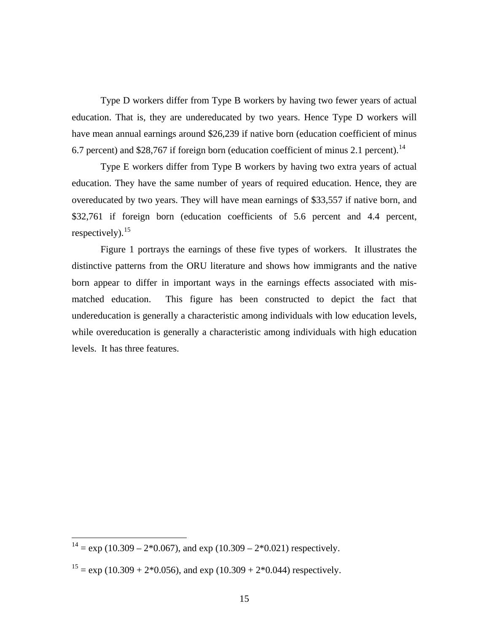Type D workers differ from Type B workers by having two fewer years of actual education. That is, they are undereducated by two years. Hence Type D workers will have mean annual earnings around \$26,239 if native born (education coefficient of minus 6.7 percent) and \$28,767 if foreign born (education coefficient of minus 2.1 percent).<sup>[14](#page-15-0)</sup>

 Type E workers differ from Type B workers by having two extra years of actual education. They have the same number of years of required education. Hence, they are overeducated by two years. They will have mean earnings of \$33,557 if native born, and \$32,761 if foreign born (education coefficients of 5.6 percent and 4.4 percent, respectively). $^{15}$  $^{15}$  $^{15}$ 

Figure 1 portrays the earnings of these five types of workers. It illustrates the distinctive patterns from the ORU literature and shows how immigrants and the native born appear to differ in important ways in the earnings effects associated with mismatched education. This figure has been constructed to depict the fact that undereducation is generally a characteristic among individuals with low education levels, while overeducation is generally a characteristic among individuals with high education levels. It has three features.

<span id="page-15-0"></span> $1^4$  = exp (10.309 – 2\*0.067), and exp (10.309 – 2\*0.021) respectively.

<span id="page-15-1"></span> $15 = exp(10.309 + 2*0.056)$ , and  $exp(10.309 + 2*0.044)$  respectively.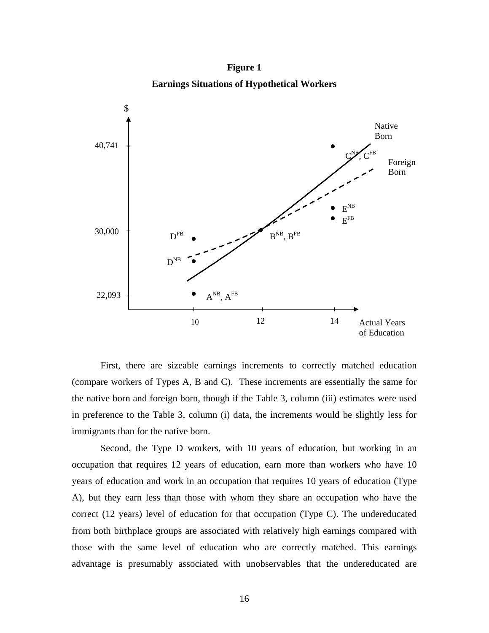#### **Figure 1**

**Earnings Situations of Hypothetical Workers** 



First, there are sizeable earnings increments to correctly matched education (compare workers of Types A, B and C). These increments are essentially the same for the native born and foreign born, though if the Table 3, column (iii) estimates were used in preference to the Table 3, column (i) data, the increments would be slightly less for immigrants than for the native born.

Second, the Type D workers, with 10 years of education, but working in an occupation that requires 12 years of education, earn more than workers who have 10 years of education and work in an occupation that requires 10 years of education (Type A), but they earn less than those with whom they share an occupation who have the correct (12 years) level of education for that occupation (Type C). The undereducated from both birthplace groups are associated with relatively high earnings compared with those with the same level of education who are correctly matched. This earnings advantage is presumably associated with unobservables that the undereducated are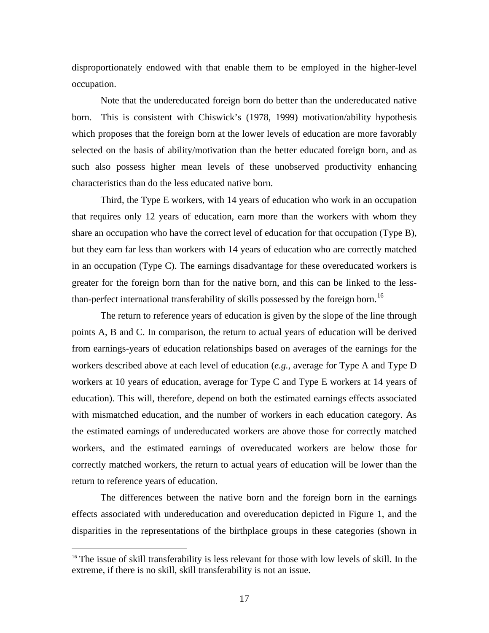disproportionately endowed with that enable them to be employed in the higher-level occupation.

Note that the undereducated foreign born do better than the undereducated native born. This is consistent with Chiswick's (1978, 1999) motivation/ability hypothesis which proposes that the foreign born at the lower levels of education are more favorably selected on the basis of ability/motivation than the better educated foreign born, and as such also possess higher mean levels of these unobserved productivity enhancing characteristics than do the less educated native born.

Third, the Type E workers, with 14 years of education who work in an occupation that requires only 12 years of education, earn more than the workers with whom they share an occupation who have the correct level of education for that occupation (Type B), but they earn far less than workers with 14 years of education who are correctly matched in an occupation (Type C). The earnings disadvantage for these overeducated workers is greater for the foreign born than for the native born, and this can be linked to the less-than-perfect international transferability of skills possessed by the foreign born.<sup>[16](#page-17-0)</sup>

The return to reference years of education is given by the slope of the line through points A, B and C. In comparison, the return to actual years of education will be derived from earnings-years of education relationships based on averages of the earnings for the workers described above at each level of education (*e.g.*, average for Type A and Type D workers at 10 years of education, average for Type C and Type E workers at 14 years of education). This will, therefore, depend on both the estimated earnings effects associated with mismatched education, and the number of workers in each education category. As the estimated earnings of undereducated workers are above those for correctly matched workers, and the estimated earnings of overeducated workers are below those for correctly matched workers, the return to actual years of education will be lower than the return to reference years of education.

The differences between the native born and the foreign born in the earnings effects associated with undereducation and overeducation depicted in Figure 1, and the disparities in the representations of the birthplace groups in these categories (shown in

<span id="page-17-0"></span><sup>&</sup>lt;sup>16</sup> The issue of skill transferability is less relevant for those with low levels of skill. In the extreme, if there is no skill, skill transferability is not an issue.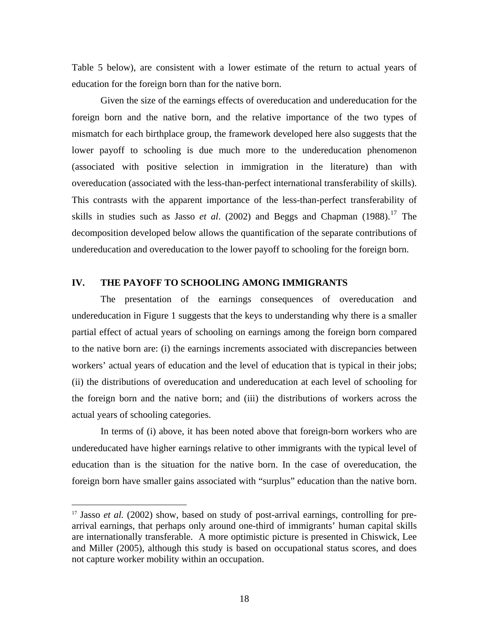Table 5 below), are consistent with a lower estimate of the return to actual years of education for the foreign born than for the native born.

Given the size of the earnings effects of overeducation and undereducation for the foreign born and the native born, and the relative importance of the two types of mismatch for each birthplace group, the framework developed here also suggests that the lower payoff to schooling is due much more to the undereducation phenomenon (associated with positive selection in immigration in the literature) than with overeducation (associated with the less-than-perfect international transferability of skills). This contrasts with the apparent importance of the less-than-perfect transferability of skills in studies such as Jasso *et al.* (2002) and Beggs and Chapman (1988).<sup>[17](#page-18-0)</sup> The decomposition developed below allows the quantification of the separate contributions of undereducation and overeducation to the lower payoff to schooling for the foreign born.

### **IV. THE PAYOFF TO SCHOOLING AMONG IMMIGRANTS**

 The presentation of the earnings consequences of overeducation and undereducation in Figure 1 suggests that the keys to understanding why there is a smaller partial effect of actual years of schooling on earnings among the foreign born compared to the native born are: (i) the earnings increments associated with discrepancies between workers' actual years of education and the level of education that is typical in their jobs; (ii) the distributions of overeducation and undereducation at each level of schooling for the foreign born and the native born; and (iii) the distributions of workers across the actual years of schooling categories.

 In terms of (i) above, it has been noted above that foreign-born workers who are undereducated have higher earnings relative to other immigrants with the typical level of education than is the situation for the native born. In the case of overeducation, the foreign born have smaller gains associated with "surplus" education than the native born.

<span id="page-18-0"></span><sup>&</sup>lt;sup>17</sup> Jasso *et al.* (2002) show, based on study of post-arrival earnings, controlling for prearrival earnings, that perhaps only around one-third of immigrants' human capital skills are internationally transferable. A more optimistic picture is presented in Chiswick, Lee and Miller (2005), although this study is based on occupational status scores, and does not capture worker mobility within an occupation.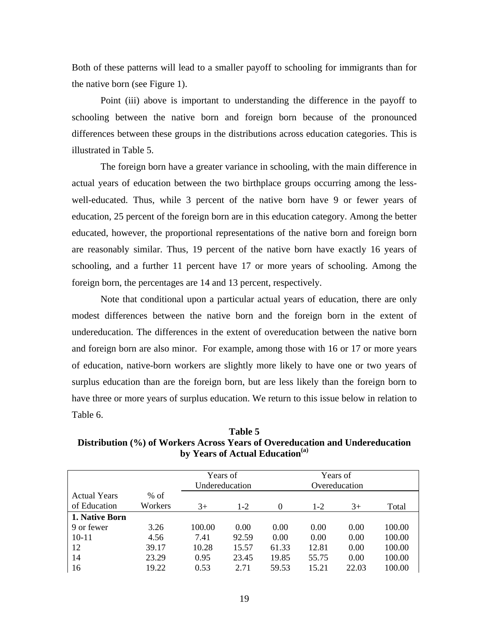Both of these patterns will lead to a smaller payoff to schooling for immigrants than for the native born (see Figure 1).

 Point (iii) above is important to understanding the difference in the payoff to schooling between the native born and foreign born because of the pronounced differences between these groups in the distributions across education categories. This is illustrated in Table 5.

The foreign born have a greater variance in schooling, with the main difference in actual years of education between the two birthplace groups occurring among the lesswell-educated. Thus, while 3 percent of the native born have 9 or fewer years of education, 25 percent of the foreign born are in this education category. Among the better educated, however, the proportional representations of the native born and foreign born are reasonably similar. Thus, 19 percent of the native born have exactly 16 years of schooling, and a further 11 percent have 17 or more years of schooling. Among the foreign born, the percentages are 14 and 13 percent, respectively.

 Note that conditional upon a particular actual years of education, there are only modest differences between the native born and the foreign born in the extent of undereducation. The differences in the extent of overeducation between the native born and foreign born are also minor. For example, among those with 16 or 17 or more years of education, native-born workers are slightly more likely to have one or two years of surplus education than are the foreign born, but are less likely than the foreign born to have three or more years of surplus education. We return to this issue below in relation to Table 6.

**Table 5 Distribution (%) of Workers Across Years of Overeducation and Undereducation**  by Years of Actual Education<sup>(a)</sup>

|                                     |                   | Years of<br>Undereducation |         |          | Years of<br>Overeducation |       |        |
|-------------------------------------|-------------------|----------------------------|---------|----------|---------------------------|-------|--------|
| <b>Actual Years</b><br>of Education | $%$ of<br>Workers | $3+$                       | $1 - 2$ | $\Omega$ | $1 - 2$                   | $3+$  | Total  |
| 1. Native Born                      |                   |                            |         |          |                           |       |        |
| 9 or fewer                          | 3.26              | 100.00                     | 0.00    | 0.00     | 0.00                      | 0.00  | 100.00 |
| $10-11$                             | 4.56              | 7.41                       | 92.59   | 0.00     | 0.00                      | 0.00  | 100.00 |
| 12                                  | 39.17             | 10.28                      | 15.57   | 61.33    | 12.81                     | 0.00  | 100.00 |
| 14                                  | 23.29             | 0.95                       | 23.45   | 19.85    | 55.75                     | 0.00  | 100.00 |
| 16                                  | 19.22             | 0.53                       | 2.71    | 59.53    | 15.21                     | 22.03 | 100.00 |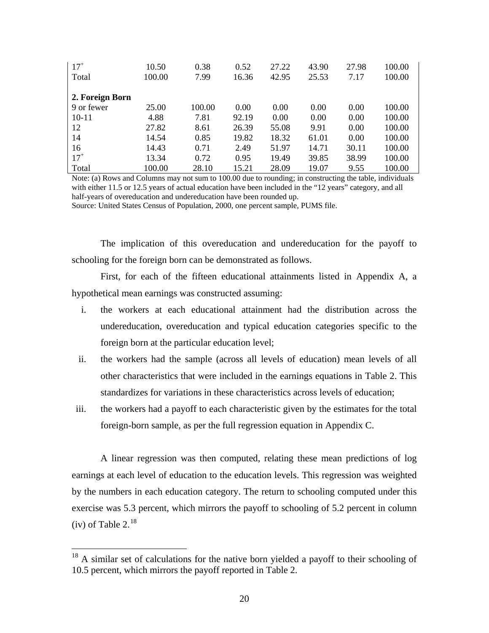| $17^{+}$        | 10.50  | 0.38   | 0.52  | 27.22 | 43.90 | 27.98 | 100.00 |
|-----------------|--------|--------|-------|-------|-------|-------|--------|
| Total           | 100.00 | 7.99   | 16.36 | 42.95 | 25.53 | 7.17  | 100.00 |
|                 |        |        |       |       |       |       |        |
| 2. Foreign Born |        |        |       |       |       |       |        |
| 9 or fewer      | 25.00  | 100.00 | 0.00  | 0.00  | 0.00  | 0.00  | 100.00 |
| $10-11$         | 4.88   | 7.81   | 92.19 | 0.00  | 0.00  | 0.00  | 100.00 |
| 12              | 27.82  | 8.61   | 26.39 | 55.08 | 9.91  | 0.00  | 100.00 |
| 14              | 14.54  | 0.85   | 19.82 | 18.32 | 61.01 | 0.00  | 100.00 |
| 16              | 14.43  | 0.71   | 2.49  | 51.97 | 14.71 | 30.11 | 100.00 |
| $17^{+}$        | 13.34  | 0.72   | 0.95  | 19.49 | 39.85 | 38.99 | 100.00 |
| Total           | 100.00 | 28.10  | 15.21 | 28.09 | 19.07 | 9.55  | 100.00 |

Note: (a) Rows and Columns may not sum to 100.00 due to rounding; in constructing the table, individuals with either 11.5 or 12.5 years of actual education have been included in the "12 years" category, and all half-years of overeducation and undereducation have been rounded up. Source: United States Census of Population, 2000, one percent sample, PUMS file.

 The implication of this overeducation and undereducation for the payoff to schooling for the foreign born can be demonstrated as follows.

 First, for each of the fifteen educational attainments listed in Appendix A, a hypothetical mean earnings was constructed assuming:

- i. the workers at each educational attainment had the distribution across the undereducation, overeducation and typical education categories specific to the foreign born at the particular education level;
- ii. the workers had the sample (across all levels of education) mean levels of all other characteristics that were included in the earnings equations in Table 2. This standardizes for variations in these characteristics across levels of education;
- iii. the workers had a payoff to each characteristic given by the estimates for the total foreign-born sample, as per the full regression equation in Appendix C.

 A linear regression was then computed, relating these mean predictions of log earnings at each level of education to the education levels. This regression was weighted by the numbers in each education category. The return to schooling computed under this exercise was 5.3 percent, which mirrors the payoff to schooling of 5.2 percent in column (iv) of Table  $2.^{18}$  $2.^{18}$  $2.^{18}$ 

<span id="page-20-0"></span> $18$  A similar set of calculations for the native born yielded a payoff to their schooling of 10.5 percent, which mirrors the payoff reported in Table 2.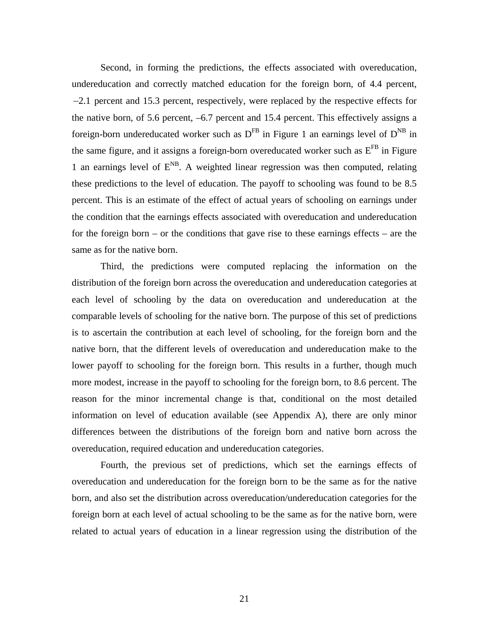Second, in forming the predictions, the effects associated with overeducation, undereducation and correctly matched education for the foreign born, of 4.4 percent, -2.1 percent and 15.3 percent, respectively, were replaced by the respective effects for the native born, of 5.6 percent, –6.7 percent and 15.4 percent. This effectively assigns a foreign-born undereducated worker such as  $D^{FB}$  in Figure 1 an earnings level of  $D^{NB}$  in the same figure, and it assigns a foreign-born overeducated worker such as  $E^{FB}$  in Figure 1 an earnings level of  $E^{NB}$ . A weighted linear regression was then computed, relating these predictions to the level of education. The payoff to schooling was found to be 8.5 percent. This is an estimate of the effect of actual years of schooling on earnings under the condition that the earnings effects associated with overeducation and undereducation for the foreign born – or the conditions that gave rise to these earnings effects – are the same as for the native born.

 Third, the predictions were computed replacing the information on the distribution of the foreign born across the overeducation and undereducation categories at each level of schooling by the data on overeducation and undereducation at the comparable levels of schooling for the native born. The purpose of this set of predictions is to ascertain the contribution at each level of schooling, for the foreign born and the native born, that the different levels of overeducation and undereducation make to the lower payoff to schooling for the foreign born. This results in a further, though much more modest, increase in the payoff to schooling for the foreign born, to 8.6 percent. The reason for the minor incremental change is that, conditional on the most detailed information on level of education available (see Appendix A), there are only minor differences between the distributions of the foreign born and native born across the overeducation, required education and undereducation categories.

 Fourth, the previous set of predictions, which set the earnings effects of overeducation and undereducation for the foreign born to be the same as for the native born, and also set the distribution across overeducation/undereducation categories for the foreign born at each level of actual schooling to be the same as for the native born, were related to actual years of education in a linear regression using the distribution of the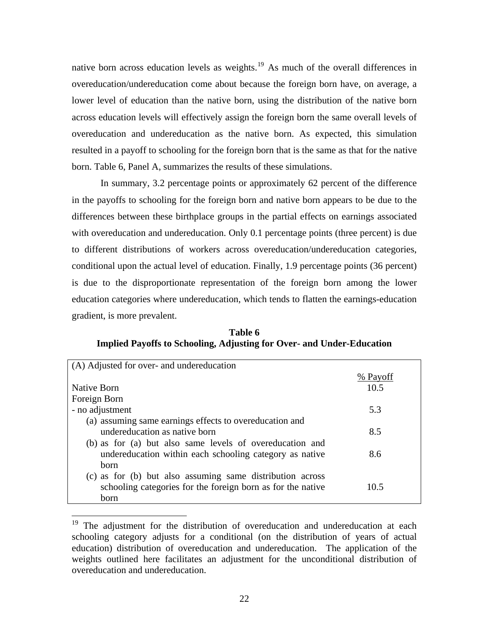native born across education levels as weights.<sup>[19](#page-22-0)</sup> As much of the overall differences in overeducation/undereducation come about because the foreign born have, on average, a lower level of education than the native born, using the distribution of the native born across education levels will effectively assign the foreign born the same overall levels of overeducation and undereducation as the native born. As expected, this simulation resulted in a payoff to schooling for the foreign born that is the same as that for the native born. Table 6, Panel A, summarizes the results of these simulations.

 In summary, 3.2 percentage points or approximately 62 percent of the difference in the payoffs to schooling for the foreign born and native born appears to be due to the differences between these birthplace groups in the partial effects on earnings associated with overeducation and undereducation. Only 0.1 percentage points (three percent) is due to different distributions of workers across overeducation/undereducation categories, conditional upon the actual level of education. Finally, 1.9 percentage points (36 percent) is due to the disproportionate representation of the foreign born among the lower education categories where undereducation, which tends to flatten the earnings-education gradient, is more prevalent.

**Table 6 Implied Payoffs to Schooling, Adjusting for Over- and Under-Education** 

| (A) Adjusted for over- and undereducation                   |          |
|-------------------------------------------------------------|----------|
|                                                             | % Payoff |
| Native Born                                                 | 10.5     |
| Foreign Born                                                |          |
| - no adjustment                                             | 5.3      |
| (a) assuming same earnings effects to overeducation and     |          |
| undereducation as native born                               | 8.5      |
| (b) as for (a) but also same levels of overeducation and    |          |
| undereducation within each schooling category as native     | 8.6      |
| <b>born</b>                                                 |          |
| (c) as for (b) but also assuming same distribution across   |          |
| schooling categories for the foreign born as for the native | 10.5     |
| born                                                        |          |
|                                                             |          |

<span id="page-22-0"></span><sup>19</sup> The adjustment for the distribution of overeducation and undereducation at each schooling category adjusts for a conditional (on the distribution of years of actual education) distribution of overeducation and undereducation. The application of the weights outlined here facilitates an adjustment for the unconditional distribution of overeducation and undereducation.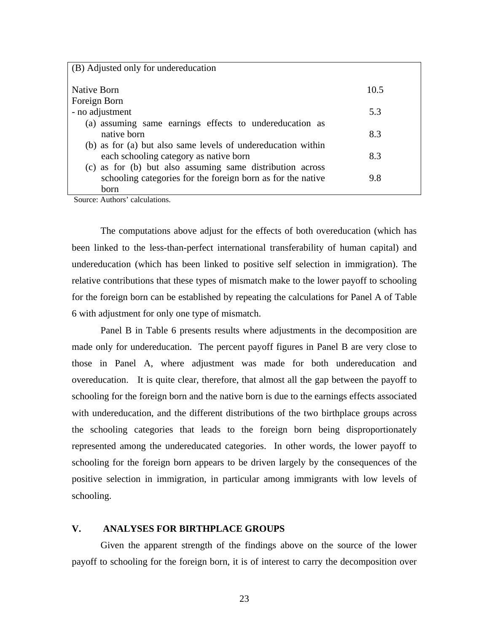| (B) Adjusted only for undereducation                         |      |
|--------------------------------------------------------------|------|
| Native Born                                                  | 10.5 |
| Foreign Born                                                 |      |
| - no adjustment                                              | 5.3  |
| (a) assuming same earnings effects to undereducation as      |      |
| native born                                                  | 8.3  |
| (b) as for (a) but also same levels of undereducation within |      |
| each schooling category as native born                       | 8.3  |
| (c) as for (b) but also assuming same distribution across    |      |
| schooling categories for the foreign born as for the native  | 9.8  |
| born                                                         |      |

Source: Authors' calculations.

The computations above adjust for the effects of both overeducation (which has been linked to the less-than-perfect international transferability of human capital) and undereducation (which has been linked to positive self selection in immigration). The relative contributions that these types of mismatch make to the lower payoff to schooling for the foreign born can be established by repeating the calculations for Panel A of Table 6 with adjustment for only one type of mismatch.

Panel B in Table 6 presents results where adjustments in the decomposition are made only for undereducation. The percent payoff figures in Panel B are very close to those in Panel A, where adjustment was made for both undereducation and overeducation. It is quite clear, therefore, that almost all the gap between the payoff to schooling for the foreign born and the native born is due to the earnings effects associated with undereducation, and the different distributions of the two birthplace groups across the schooling categories that leads to the foreign born being disproportionately represented among the undereducated categories. In other words, the lower payoff to schooling for the foreign born appears to be driven largely by the consequences of the positive selection in immigration, in particular among immigrants with low levels of schooling.

### **V. ANALYSES FOR BIRTHPLACE GROUPS**

 Given the apparent strength of the findings above on the source of the lower payoff to schooling for the foreign born, it is of interest to carry the decomposition over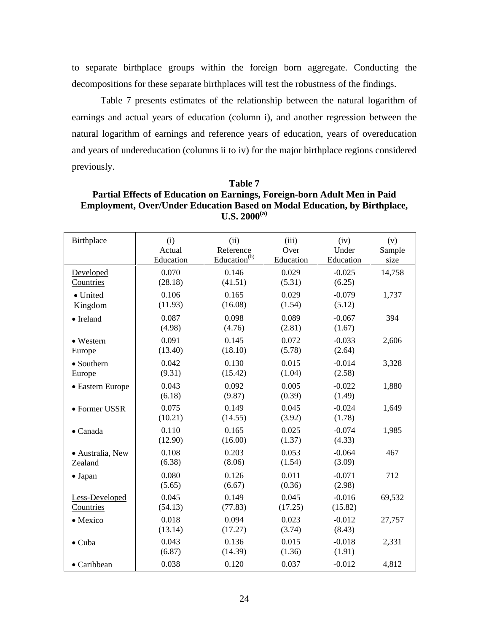to separate birthplace groups within the foreign born aggregate. Conducting the decompositions for these separate birthplaces will test the robustness of the findings.

 Table 7 presents estimates of the relationship between the natural logarithm of earnings and actual years of education (column i), and another regression between the natural logarithm of earnings and reference years of education, years of overeducation and years of undereducation (columns ii to iv) for the major birthplace regions considered previously.

| Partial Effects of Education on Earnings, Foreign-born Adult Men in Paid         |
|----------------------------------------------------------------------------------|
| <b>Employment, Over/Under Education Based on Modal Education, by Birthplace,</b> |
| $\rm U.S.~2000^{(a)}$                                                            |
|                                                                                  |

**Table 7** 

| Birthplace                  | (i)<br>Actual<br>Education | (ii)<br>Reference<br>Education <sup>(b)</sup> | (iii)<br>Over<br>Education | (iv)<br>Under<br>Education | (v)<br>Sample<br>size |
|-----------------------------|----------------------------|-----------------------------------------------|----------------------------|----------------------------|-----------------------|
| Developed<br>Countries      | 0.070<br>(28.18)           | 0.146<br>(41.51)                              | 0.029<br>(5.31)            | $-0.025$<br>(6.25)         | 14,758                |
| • United<br>Kingdom         | 0.106<br>(11.93)           | 0.165<br>(16.08)                              | 0.029<br>(1.54)            | $-0.079$<br>(5.12)         | 1,737                 |
| • Ireland                   | 0.087<br>(4.98)            | 0.098<br>(4.76)                               | 0.089<br>(2.81)            | $-0.067$<br>(1.67)         | 394                   |
| $\bullet$ Western<br>Europe | 0.091<br>(13.40)           | 0.145<br>(18.10)                              | 0.072<br>(5.78)            | $-0.033$<br>(2.64)         | 2,606                 |
| • Southern<br>Europe        | 0.042<br>(9.31)            | 0.130<br>(15.42)                              | 0.015<br>(1.04)            | $-0.014$<br>(2.58)         | 3,328                 |
| • Eastern Europe            | 0.043<br>(6.18)            | 0.092<br>(9.87)                               | 0.005<br>(0.39)            | $-0.022$<br>(1.49)         | 1,880                 |
| • Former USSR               | 0.075<br>(10.21)           | 0.149<br>(14.55)                              | 0.045<br>(3.92)            | $-0.024$<br>(1.78)         | 1,649                 |
| $\bullet$ Canada            | 0.110<br>(12.90)           | 0.165<br>(16.00)                              | 0.025<br>(1.37)            | $-0.074$<br>(4.33)         | 1,985                 |
| · Australia, New<br>Zealand | 0.108<br>(6.38)            | 0.203<br>(8.06)                               | 0.053<br>(1.54)            | $-0.064$<br>(3.09)         | 467                   |
| • Japan                     | 0.080<br>(5.65)            | 0.126<br>(6.67)                               | 0.011<br>(0.36)            | $-0.071$<br>(2.98)         | 712                   |
| Less-Developed<br>Countries | 0.045<br>(54.13)           | 0.149<br>(77.83)                              | 0.045<br>(17.25)           | $-0.016$<br>(15.82)        | 69,532                |
| · Mexico                    | 0.018<br>(13.14)           | 0.094<br>(17.27)                              | 0.023<br>(3.74)            | $-0.012$<br>(8.43)         | 27,757                |
| $\bullet$ Cuba              | 0.043<br>(6.87)            | 0.136<br>(14.39)                              | 0.015<br>(1.36)            | $-0.018$<br>(1.91)         | 2,331                 |
| • Caribbean                 | 0.038                      | 0.120                                         | 0.037                      | $-0.012$                   | 4,812                 |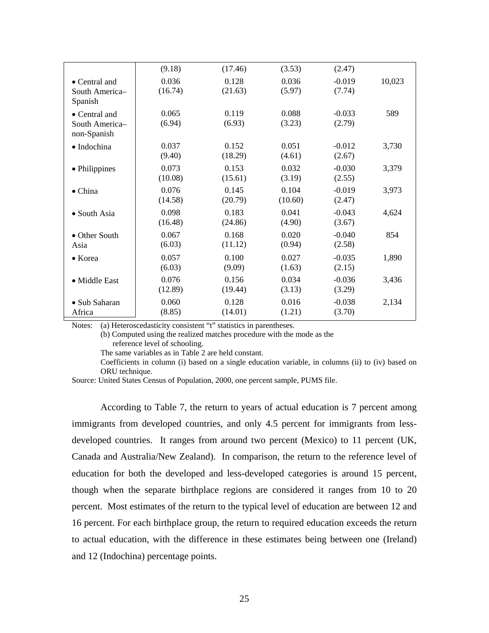| (9.18)<br>(3.53)<br>(17.46)<br>(2.47)<br>10,023<br>0.036<br>0.128<br>0.036<br>$-0.019$<br>$\bullet$ Central and<br>(16.74)<br>(21.63)<br>(5.97)<br>(7.74)<br>South America-<br>Spanish<br>0.088<br>0.065<br>0.119<br>$-0.033$<br>589<br>• Central and<br>(6.94)<br>(6.93)<br>South America-<br>(3.23)<br>(2.79)<br>non-Spanish<br>0.037<br>0.152<br>0.051<br>$-0.012$<br>3,730<br>$\bullet$ Indochina<br>(9.40)<br>(18.29)<br>(4.61)<br>(2.67)<br>0.073<br>0.153<br>0.032<br>$-0.030$<br>3,379<br>• Philippines<br>(10.08)<br>(15.61)<br>(3.19)<br>(2.55)<br>0.076<br>0.145<br>0.104<br>$-0.019$<br>3,973<br>$\bullet$ China<br>(14.58)<br>(20.79)<br>(10.60)<br>(2.47)<br>0.098<br>0.041<br>$-0.043$<br>0.183<br>4,624<br>$\bullet$ South Asia<br>(16.48)<br>(4.90)<br>(24.86)<br>(3.67)<br>0.067<br>0.020<br>0.168<br>$-0.040$<br>854<br>• Other South<br>(6.03)<br>(11.12)<br>(0.94)<br>(2.58)<br>Asia<br>0.100<br>$-0.035$<br>0.057<br>0.027<br>1,890<br>$\bullet$ Korea<br>(6.03)<br>(9.09)<br>(1.63)<br>(2.15) |               |       |       |       |          |       |
|----------------------------------------------------------------------------------------------------------------------------------------------------------------------------------------------------------------------------------------------------------------------------------------------------------------------------------------------------------------------------------------------------------------------------------------------------------------------------------------------------------------------------------------------------------------------------------------------------------------------------------------------------------------------------------------------------------------------------------------------------------------------------------------------------------------------------------------------------------------------------------------------------------------------------------------------------------------------------------------------------------------------|---------------|-------|-------|-------|----------|-------|
|                                                                                                                                                                                                                                                                                                                                                                                                                                                                                                                                                                                                                                                                                                                                                                                                                                                                                                                                                                                                                      |               |       |       |       |          |       |
|                                                                                                                                                                                                                                                                                                                                                                                                                                                                                                                                                                                                                                                                                                                                                                                                                                                                                                                                                                                                                      |               |       |       |       |          |       |
|                                                                                                                                                                                                                                                                                                                                                                                                                                                                                                                                                                                                                                                                                                                                                                                                                                                                                                                                                                                                                      |               |       |       |       |          |       |
|                                                                                                                                                                                                                                                                                                                                                                                                                                                                                                                                                                                                                                                                                                                                                                                                                                                                                                                                                                                                                      |               |       |       |       |          |       |
|                                                                                                                                                                                                                                                                                                                                                                                                                                                                                                                                                                                                                                                                                                                                                                                                                                                                                                                                                                                                                      |               |       |       |       |          |       |
|                                                                                                                                                                                                                                                                                                                                                                                                                                                                                                                                                                                                                                                                                                                                                                                                                                                                                                                                                                                                                      |               |       |       |       |          |       |
|                                                                                                                                                                                                                                                                                                                                                                                                                                                                                                                                                                                                                                                                                                                                                                                                                                                                                                                                                                                                                      |               |       |       |       |          |       |
|                                                                                                                                                                                                                                                                                                                                                                                                                                                                                                                                                                                                                                                                                                                                                                                                                                                                                                                                                                                                                      |               |       |       |       |          |       |
|                                                                                                                                                                                                                                                                                                                                                                                                                                                                                                                                                                                                                                                                                                                                                                                                                                                                                                                                                                                                                      |               |       |       |       |          |       |
|                                                                                                                                                                                                                                                                                                                                                                                                                                                                                                                                                                                                                                                                                                                                                                                                                                                                                                                                                                                                                      |               |       |       |       |          |       |
|                                                                                                                                                                                                                                                                                                                                                                                                                                                                                                                                                                                                                                                                                                                                                                                                                                                                                                                                                                                                                      |               |       |       |       |          |       |
|                                                                                                                                                                                                                                                                                                                                                                                                                                                                                                                                                                                                                                                                                                                                                                                                                                                                                                                                                                                                                      |               |       |       |       |          |       |
|                                                                                                                                                                                                                                                                                                                                                                                                                                                                                                                                                                                                                                                                                                                                                                                                                                                                                                                                                                                                                      |               |       |       |       |          |       |
|                                                                                                                                                                                                                                                                                                                                                                                                                                                                                                                                                                                                                                                                                                                                                                                                                                                                                                                                                                                                                      |               |       |       |       |          |       |
|                                                                                                                                                                                                                                                                                                                                                                                                                                                                                                                                                                                                                                                                                                                                                                                                                                                                                                                                                                                                                      |               |       |       |       |          |       |
|                                                                                                                                                                                                                                                                                                                                                                                                                                                                                                                                                                                                                                                                                                                                                                                                                                                                                                                                                                                                                      |               |       |       |       |          |       |
|                                                                                                                                                                                                                                                                                                                                                                                                                                                                                                                                                                                                                                                                                                                                                                                                                                                                                                                                                                                                                      |               |       |       |       |          |       |
|                                                                                                                                                                                                                                                                                                                                                                                                                                                                                                                                                                                                                                                                                                                                                                                                                                                                                                                                                                                                                      | • Middle East | 0.076 | 0.156 | 0.034 | $-0.036$ | 3,436 |
| (12.89)<br>(19.44)<br>(3.13)<br>(3.29)                                                                                                                                                                                                                                                                                                                                                                                                                                                                                                                                                                                                                                                                                                                                                                                                                                                                                                                                                                               |               |       |       |       |          |       |
| 0.060<br>0.128<br>0.016<br>$-0.038$<br>2,134<br>• Sub Saharan                                                                                                                                                                                                                                                                                                                                                                                                                                                                                                                                                                                                                                                                                                                                                                                                                                                                                                                                                        |               |       |       |       |          |       |
| (8.85)<br>(14.01)<br>(1.21)<br>Africa<br>(3.70)                                                                                                                                                                                                                                                                                                                                                                                                                                                                                                                                                                                                                                                                                                                                                                                                                                                                                                                                                                      |               |       |       |       |          |       |

Notes: (a) Heteroscedasticity consistent "t" statistics in parentheses.

(b) Computed using the realized matches procedure with the mode as the

reference level of schooling.

The same variables as in Table 2 are held constant.

Coefficients in column (i) based on a single education variable, in columns (ii) to (iv) based on ORU technique.

Source: United States Census of Population, 2000, one percent sample, PUMS file.

 According to Table 7, the return to years of actual education is 7 percent among immigrants from developed countries, and only 4.5 percent for immigrants from lessdeveloped countries. It ranges from around two percent (Mexico) to 11 percent (UK, Canada and Australia/New Zealand). In comparison, the return to the reference level of education for both the developed and less-developed categories is around 15 percent, though when the separate birthplace regions are considered it ranges from 10 to 20 percent. Most estimates of the return to the typical level of education are between 12 and 16 percent. For each birthplace group, the return to required education exceeds the return to actual education, with the difference in these estimates being between one (Ireland) and 12 (Indochina) percentage points.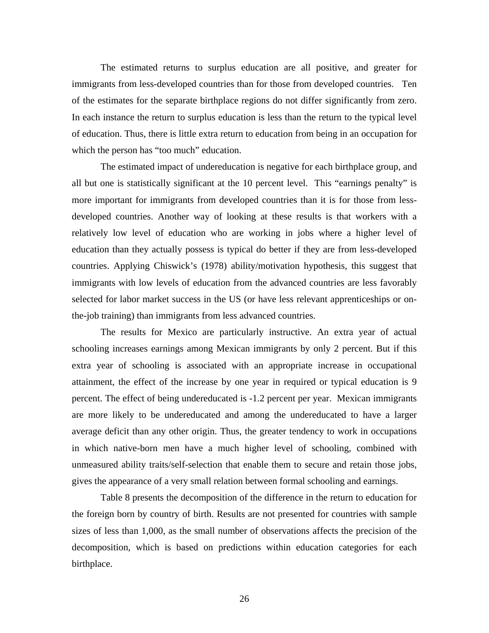The estimated returns to surplus education are all positive, and greater for immigrants from less-developed countries than for those from developed countries. Ten of the estimates for the separate birthplace regions do not differ significantly from zero. In each instance the return to surplus education is less than the return to the typical level of education. Thus, there is little extra return to education from being in an occupation for which the person has "too much" education.

 The estimated impact of undereducation is negative for each birthplace group, and all but one is statistically significant at the 10 percent level. This "earnings penalty" is more important for immigrants from developed countries than it is for those from lessdeveloped countries. Another way of looking at these results is that workers with a relatively low level of education who are working in jobs where a higher level of education than they actually possess is typical do better if they are from less-developed countries. Applying Chiswick's (1978) ability/motivation hypothesis, this suggest that immigrants with low levels of education from the advanced countries are less favorably selected for labor market success in the US (or have less relevant apprenticeships or onthe-job training) than immigrants from less advanced countries.

 The results for Mexico are particularly instructive. An extra year of actual schooling increases earnings among Mexican immigrants by only 2 percent. But if this extra year of schooling is associated with an appropriate increase in occupational attainment, the effect of the increase by one year in required or typical education is 9 percent. The effect of being undereducated is -1.2 percent per year. Mexican immigrants are more likely to be undereducated and among the undereducated to have a larger average deficit than any other origin. Thus, the greater tendency to work in occupations in which native-born men have a much higher level of schooling, combined with unmeasured ability traits/self-selection that enable them to secure and retain those jobs, gives the appearance of a very small relation between formal schooling and earnings.

Table 8 presents the decomposition of the difference in the return to education for the foreign born by country of birth. Results are not presented for countries with sample sizes of less than 1,000, as the small number of observations affects the precision of the decomposition, which is based on predictions within education categories for each birthplace.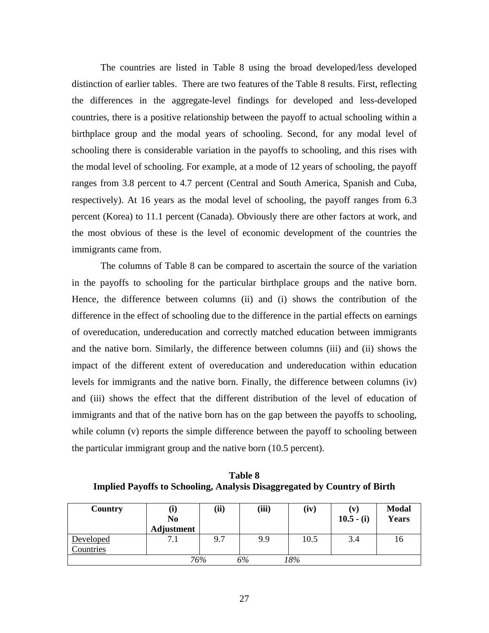The countries are listed in Table 8 using the broad developed/less developed distinction of earlier tables. There are two features of the Table 8 results. First, reflecting the differences in the aggregate-level findings for developed and less-developed countries, there is a positive relationship between the payoff to actual schooling within a birthplace group and the modal years of schooling. Second, for any modal level of schooling there is considerable variation in the payoffs to schooling, and this rises with the modal level of schooling. For example, at a mode of 12 years of schooling, the payoff ranges from 3.8 percent to 4.7 percent (Central and South America, Spanish and Cuba, respectively). At 16 years as the modal level of schooling, the payoff ranges from 6.3 percent (Korea) to 11.1 percent (Canada). Obviously there are other factors at work, and the most obvious of these is the level of economic development of the countries the immigrants came from.

 The columns of Table 8 can be compared to ascertain the source of the variation in the payoffs to schooling for the particular birthplace groups and the native born. Hence, the difference between columns (ii) and (i) shows the contribution of the difference in the effect of schooling due to the difference in the partial effects on earnings of overeducation, undereducation and correctly matched education between immigrants and the native born. Similarly, the difference between columns (iii) and (ii) shows the impact of the different extent of overeducation and undereducation within education levels for immigrants and the native born. Finally, the difference between columns (iv) and (iii) shows the effect that the different distribution of the level of education of immigrants and that of the native born has on the gap between the payoffs to schooling, while column (v) reports the simple difference between the payoff to schooling between the particular immigrant group and the native born (10.5 percent).

**Table 8 Implied Payoffs to Schooling, Analysis Disaggregated by Country of Birth** 

| Country                | $\bf (i)$<br>N <sub>0</sub><br>Adjustment | $\bf (ii)$ | (iii) | (iv) | $(\mathbf{v})$<br>10.5 - (i) | <b>Modal</b><br><b>Years</b> |
|------------------------|-------------------------------------------|------------|-------|------|------------------------------|------------------------------|
| Developed<br>Countries | 7.1                                       | 9.7        | 9.9   | 10.5 | 3.4                          | 16                           |
|                        | 76%                                       |            | 6%    | 18%  |                              |                              |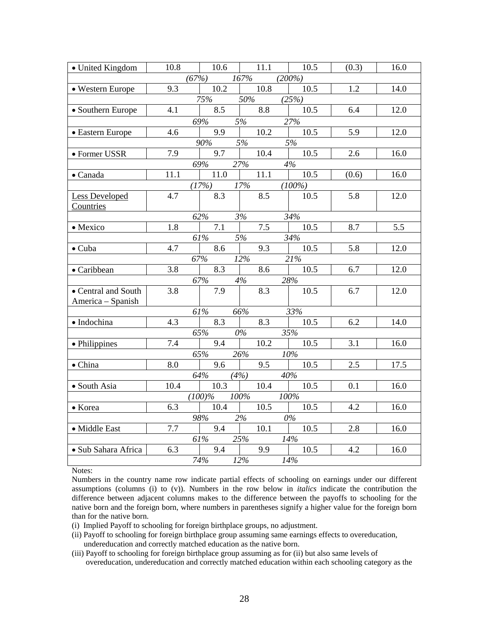| • United Kingdom      | 10.8             | 10.6             | 11.1             | 10.5              | (0.3) | 16.0 |  |  |
|-----------------------|------------------|------------------|------------------|-------------------|-------|------|--|--|
|                       | (67%)            |                  | 167%             | (200%)            |       |      |  |  |
| • Western Europe      | 9.3              | 10.2             | 10.8             | 10.5              | 1.2   | 14.0 |  |  |
| 75%<br>50%<br>(25%)   |                  |                  |                  |                   |       |      |  |  |
| • Southern Europe     | 4.1              | $\overline{8.5}$ | 8.8              | 10.5              | 6.4   | 12.0 |  |  |
|                       |                  | 69%              | 5%               | 27%               |       |      |  |  |
| • Eastern Europe      | 4.6              | 9.9              | 10.2             | 10.5              | 5.9   | 12.0 |  |  |
|                       |                  | 90%              | 5%               | 5%                |       |      |  |  |
| • Former USSR         | 7.9              | 9.7              | 10.4             | 10.5              | 2.6   | 16.0 |  |  |
|                       |                  | 69%              | 27%              | 4%                |       |      |  |  |
| $\bullet$ Canada      | 11.1             | 11.0             | 11.1             | $\overline{10.5}$ | (0.6) | 16.0 |  |  |
|                       |                  | (17%)            | 17%              | $(100\%)$         |       |      |  |  |
| <b>Less Developed</b> | 4.7              | 8.3              | 8.5              | 10.5              | 5.8   | 12.0 |  |  |
| Countries             |                  |                  |                  |                   |       |      |  |  |
| 62%<br>34%<br>3%      |                  |                  |                  |                   |       |      |  |  |
| • Mexico              | $\overline{1.8}$ | 7.1              | $\overline{7.5}$ | 10.5              | 8.7   | 5.5  |  |  |
|                       |                  | 61%              | 5%               | 34%               |       |      |  |  |
| $\bullet$ Cuba        | 4.7              | 8.6              | 9.3              | 10.5              | 5.8   | 12.0 |  |  |
| $21\%$<br>67%<br>12%  |                  |                  |                  |                   |       |      |  |  |
| • Caribbean           | 3.8              | 8.3              | 8.6              | 10.5              | 6.7   | 12.0 |  |  |
|                       |                  | 67%              | 4%               | 28%               |       |      |  |  |
| • Central and South   | 3.8              | 7.9              | 8.3              | 10.5              | 6.7   | 12.0 |  |  |
| America - Spanish     |                  |                  |                  |                   |       |      |  |  |
|                       |                  | 61%              | 66%              | 33%               |       |      |  |  |
| · Indochina           | 4.3              | 8.3              | 8.3              | 10.5              | 6.2   | 14.0 |  |  |
|                       |                  | 65%              | $0\%$            | 35%               |       |      |  |  |
| • Philippines         | 7.4              | 9.4              | 10.2             | 10.5              | 3.1   | 16.0 |  |  |
|                       |                  | 65%              | 26%              | 10%               |       |      |  |  |
| $\bullet$ China       | 8.0              | 9.6              | 9.5              | 10.5              | 2.5   | 17.5 |  |  |
|                       |                  | 64%<br>(4%)      |                  | 40%               |       |      |  |  |
| · South Asia          | 10.4             | 10.3             | 10.4             | 10.5              | 0.1   | 16.0 |  |  |
|                       |                  | $(100)\%$        | 100%             | 100%              |       |      |  |  |
| • Korea               | 6.3              | 10.4             | 10.5             | 10.5              | 4.2   | 16.0 |  |  |
|                       |                  | 98%              | 2%               | $0\%$             |       |      |  |  |
| · Middle East         | 7.7              | 9.4              | 10.1             | 10.5              | 2.8   | 16.0 |  |  |
|                       |                  | 61%              | 25%              | 14%               |       |      |  |  |
| · Sub Sahara Africa   | 6.3              | 9.4              | 9.9              | 10.5              | 4.2   | 16.0 |  |  |
|                       |                  | 74%              | 12%              | 14%               |       |      |  |  |

Notes:

Numbers in the country name row indicate partial effects of schooling on earnings under our different assumptions (columns (i) to (v)). Numbers in the row below in *italics* indicate the contribution the difference between adjacent columns makes to the difference between the payoffs to schooling for the native born and the foreign born, where numbers in parentheses signify a higher value for the foreign born than for the native born.

(i) Implied Payoff to schooling for foreign birthplace groups, no adjustment.

- (ii) Payoff to schooling for foreign birthplace group assuming same earnings effects to overeducation, undereducation and correctly matched education as the native born.
- (iii) Payoff to schooling for foreign birthplace group assuming as for (ii) but also same levels of overeducation, undereducation and correctly matched education within each schooling category as the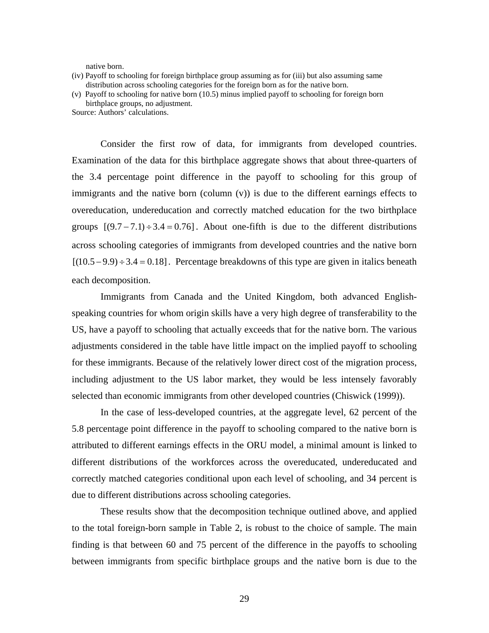native born.

(iv) Payoff to schooling for foreign birthplace group assuming as for (iii) but also assuming same distribution across schooling categories for the foreign born as for the native born.

(v) Payoff to schooling for native born (10.5) minus implied payoff to schooling for foreign born birthplace groups, no adjustment.

Source: Authors' calculations.

Consider the first row of data, for immigrants from developed countries. Examination of the data for this birthplace aggregate shows that about three-quarters of the 3.4 percentage point difference in the payoff to schooling for this group of immigrants and the native born (column  $(v)$ ) is due to the different earnings effects to overeducation, undereducation and correctly matched education for the two birthplace groups  $[(9.7 - 7.1) \div 3.4 = 0.76]$ . About one-fifth is due to the different distributions across schooling categories of immigrants from developed countries and the native born  $[(10.5-9.9) \div 3.4 = 0.18]$ . Percentage breakdowns of this type are given in italics beneath each decomposition.

 Immigrants from Canada and the United Kingdom, both advanced Englishspeaking countries for whom origin skills have a very high degree of transferability to the US, have a payoff to schooling that actually exceeds that for the native born. The various adjustments considered in the table have little impact on the implied payoff to schooling for these immigrants. Because of the relatively lower direct cost of the migration process, including adjustment to the US labor market, they would be less intensely favorably selected than economic immigrants from other developed countries (Chiswick (1999)).

 In the case of less-developed countries, at the aggregate level, 62 percent of the 5.8 percentage point difference in the payoff to schooling compared to the native born is attributed to different earnings effects in the ORU model, a minimal amount is linked to different distributions of the workforces across the overeducated, undereducated and correctly matched categories conditional upon each level of schooling, and 34 percent is due to different distributions across schooling categories.

 These results show that the decomposition technique outlined above, and applied to the total foreign-born sample in Table 2, is robust to the choice of sample. The main finding is that between 60 and 75 percent of the difference in the payoffs to schooling between immigrants from specific birthplace groups and the native born is due to the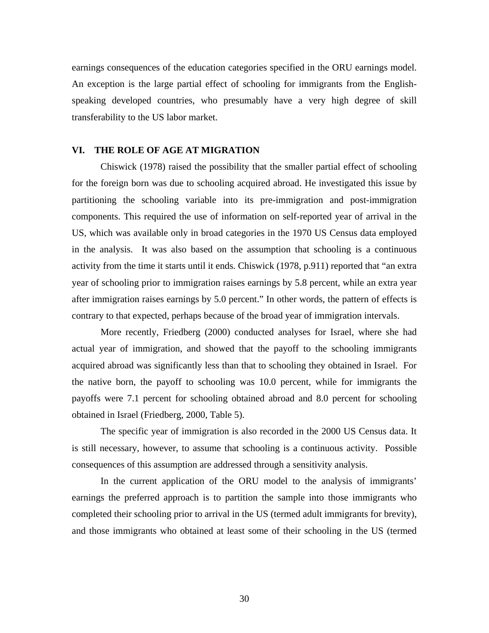earnings consequences of the education categories specified in the ORU earnings model. An exception is the large partial effect of schooling for immigrants from the Englishspeaking developed countries, who presumably have a very high degree of skill transferability to the US labor market.

#### **VI. THE ROLE OF AGE AT MIGRATION**

Chiswick (1978) raised the possibility that the smaller partial effect of schooling for the foreign born was due to schooling acquired abroad. He investigated this issue by partitioning the schooling variable into its pre-immigration and post-immigration components. This required the use of information on self-reported year of arrival in the US, which was available only in broad categories in the 1970 US Census data employed in the analysis. It was also based on the assumption that schooling is a continuous activity from the time it starts until it ends. Chiswick (1978, p.911) reported that "an extra year of schooling prior to immigration raises earnings by 5.8 percent, while an extra year after immigration raises earnings by 5.0 percent." In other words, the pattern of effects is contrary to that expected, perhaps because of the broad year of immigration intervals.

More recently, Friedberg (2000) conducted analyses for Israel, where she had actual year of immigration, and showed that the payoff to the schooling immigrants acquired abroad was significantly less than that to schooling they obtained in Israel. For the native born, the payoff to schooling was 10.0 percent, while for immigrants the payoffs were 7.1 percent for schooling obtained abroad and 8.0 percent for schooling obtained in Israel (Friedberg, 2000, Table 5).

The specific year of immigration is also recorded in the 2000 US Census data. It is still necessary, however, to assume that schooling is a continuous activity. Possible consequences of this assumption are addressed through a sensitivity analysis.

In the current application of the ORU model to the analysis of immigrants' earnings the preferred approach is to partition the sample into those immigrants who completed their schooling prior to arrival in the US (termed adult immigrants for brevity), and those immigrants who obtained at least some of their schooling in the US (termed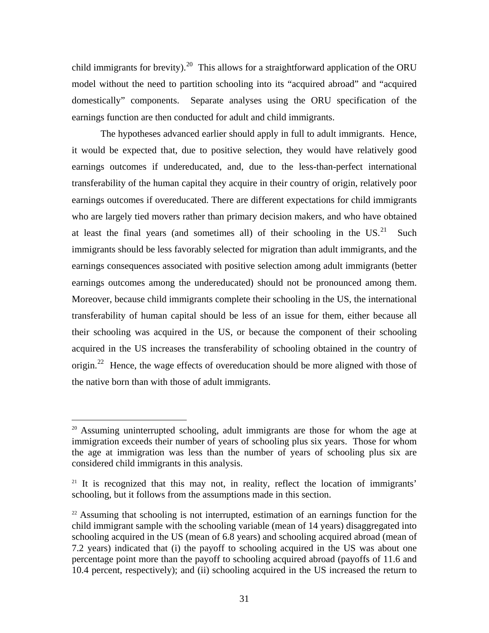child immigrants for brevity).<sup>[20](#page-31-0)</sup> This allows for a straightforward application of the ORU model without the need to partition schooling into its "acquired abroad" and "acquired domestically" components. Separate analyses using the ORU specification of the earnings function are then conducted for adult and child immigrants.

The hypotheses advanced earlier should apply in full to adult immigrants. Hence, it would be expected that, due to positive selection, they would have relatively good earnings outcomes if undereducated, and, due to the less-than-perfect international transferability of the human capital they acquire in their country of origin, relatively poor earnings outcomes if overeducated. There are different expectations for child immigrants who are largely tied movers rather than primary decision makers, and who have obtained at least the final years (and sometimes all) of their schooling in the  $US<sup>21</sup>$  $US<sup>21</sup>$  $US<sup>21</sup>$  Such immigrants should be less favorably selected for migration than adult immigrants, and the earnings consequences associated with positive selection among adult immigrants (better earnings outcomes among the undereducated) should not be pronounced among them. Moreover, because child immigrants complete their schooling in the US, the international transferability of human capital should be less of an issue for them, either because all their schooling was acquired in the US, or because the component of their schooling acquired in the US increases the transferability of schooling obtained in the country of origin.<sup>[22](#page-31-2)</sup> Hence, the wage effects of overeducation should be more aligned with those of the native born than with those of adult immigrants.

<span id="page-31-0"></span><sup>&</sup>lt;sup>20</sup> Assuming uninterrupted schooling, adult immigrants are those for whom the age at immigration exceeds their number of years of schooling plus six years. Those for whom the age at immigration was less than the number of years of schooling plus six are considered child immigrants in this analysis.

<span id="page-31-1"></span><sup>&</sup>lt;sup>21</sup> It is recognized that this may not, in reality, reflect the location of immigrants' schooling, but it follows from the assumptions made in this section.

<span id="page-31-2"></span> $22$  Assuming that schooling is not interrupted, estimation of an earnings function for the child immigrant sample with the schooling variable (mean of 14 years) disaggregated into schooling acquired in the US (mean of 6.8 years) and schooling acquired abroad (mean of 7.2 years) indicated that (i) the payoff to schooling acquired in the US was about one percentage point more than the payoff to schooling acquired abroad (payoffs of 11.6 and 10.4 percent, respectively); and (ii) schooling acquired in the US increased the return to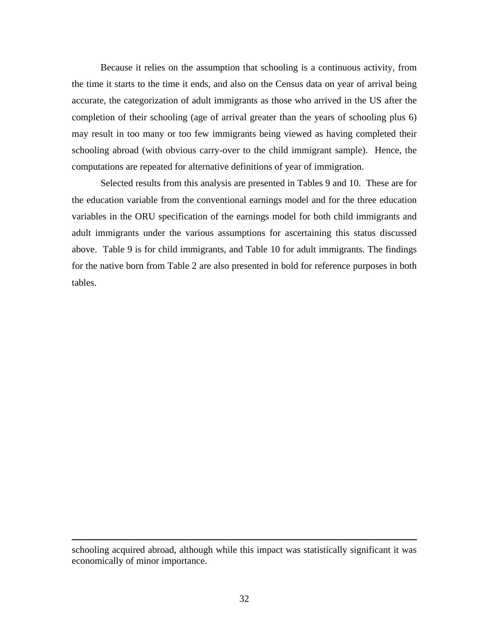Because it relies on the assumption that schooling is a continuous activity, from the time it starts to the time it ends, and also on the Census data on year of arrival being accurate, the categorization of adult immigrants as those who arrived in the US after the completion of their schooling (age of arrival greater than the years of schooling plus 6) may result in too many or too few immigrants being viewed as having completed their schooling abroad (with obvious carry-over to the child immigrant sample). Hence, the computations are repeated for alternative definitions of year of immigration.

 Selected results from this analysis are presented in Tables 9 and 10. These are for the education variable from the conventional earnings model and for the three education variables in the ORU specification of the earnings model for both child immigrants and adult immigrants under the various assumptions for ascertaining this status discussed above. Table 9 is for child immigrants, and Table 10 for adult immigrants. The findings for the native born from Table 2 are also presented in bold for reference purposes in both tables.

schooling acquired abroad, although while this impact was statistically significant it was economically of minor importance.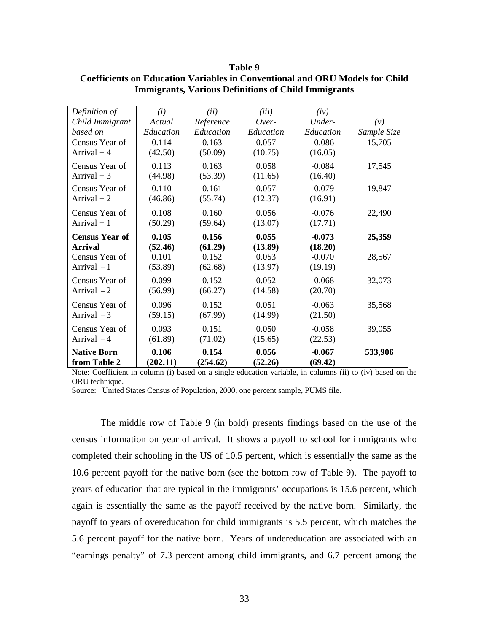#### **Table 9**

| Definition of                      | (i)               | (ii)              | (iii)            | (iv)                |             |
|------------------------------------|-------------------|-------------------|------------------|---------------------|-------------|
| Child Immigrant                    | Actual            | Reference         | Over-            | Under-              | (v)         |
| based on                           | Education         | Education         | Education        | Education           | Sample Size |
| Census Year of                     | 0.114             | 0.163             | 0.057            | $-0.086$            | 15,705      |
| Arrival $+4$                       | (42.50)           | (50.09)           | (10.75)          | (16.05)             |             |
| Census Year of                     | 0.113             | 0.163             | 0.058            | $-0.084$            | 17,545      |
| Arrival $+3$                       | (44.98)           | (53.39)           | (11.65)          | (16.40)             |             |
| Census Year of                     | 0.110             | 0.161             | 0.057            | $-0.079$            | 19,847      |
| Arrival $+2$                       | (46.86)           | (55.74)           | (12.37)          | (16.91)             |             |
| Census Year of                     | 0.108             | 0.160             | 0.056            | $-0.076$            | 22,490      |
| Arrival $+1$                       | (50.29)           | (59.64)           | (13.07)          | (17.71)             |             |
| <b>Census Year of</b>              | 0.105             | 0.156             | 0.055            | $-0.073$            | 25,359      |
| <b>Arrival</b>                     | (52.46)           | (61.29)           | (13.89)          | (18.20)             |             |
| Census Year of                     | 0.101             | 0.152             | 0.053            | $-0.070$            | 28,567      |
| Arrival $-1$                       | (53.89)           | (62.68)           | (13.97)          | (19.19)             |             |
| Census Year of                     | 0.099             | 0.152             | 0.052            | $-0.068$            | 32,073      |
| Arrival $-2$                       | (56.99)           | (66.27)           | (14.58)          | (20.70)             |             |
| Census Year of                     | 0.096             | 0.152             | 0.051            | $-0.063$            | 35,568      |
| Arrival $-3$                       | (59.15)           | (67.99)           | (14.99)          | (21.50)             |             |
| Census Year of                     | 0.093             | 0.151             | 0.050            | $-0.058$            | 39,055      |
| Arrival $-4$                       | (61.89)           | (71.02)           | (15.65)          | (22.53)             |             |
| <b>Native Born</b><br>from Table 2 | 0.106<br>(202.11) | 0.154<br>(254.62) | 0.056<br>(52.26) | $-0.067$<br>(69.42) | 533,906     |

# **Coefficients on Education Variables in Conventional and ORU Models for Child Immigrants, Various Definitions of Child Immigrants**

Note: Coefficient in column (i) based on a single education variable, in columns (ii) to (iv) based on the ORU technique.

Source: United States Census of Population, 2000, one percent sample, PUMS file.

 The middle row of Table 9 (in bold) presents findings based on the use of the census information on year of arrival. It shows a payoff to school for immigrants who completed their schooling in the US of 10.5 percent, which is essentially the same as the 10.6 percent payoff for the native born (see the bottom row of Table 9). The payoff to years of education that are typical in the immigrants' occupations is 15.6 percent, which again is essentially the same as the payoff received by the native born. Similarly, the payoff to years of overeducation for child immigrants is 5.5 percent, which matches the 5.6 percent payoff for the native born. Years of undereducation are associated with an "earnings penalty" of 7.3 percent among child immigrants, and 6.7 percent among the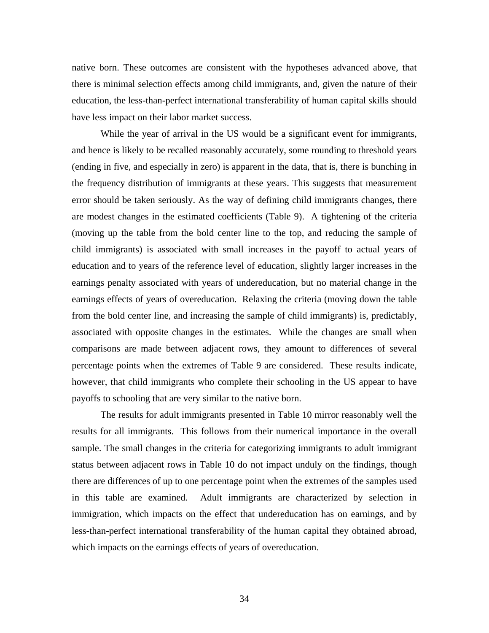native born. These outcomes are consistent with the hypotheses advanced above, that there is minimal selection effects among child immigrants, and, given the nature of their education, the less-than-perfect international transferability of human capital skills should have less impact on their labor market success.

 While the year of arrival in the US would be a significant event for immigrants, and hence is likely to be recalled reasonably accurately, some rounding to threshold years (ending in five, and especially in zero) is apparent in the data, that is, there is bunching in the frequency distribution of immigrants at these years. This suggests that measurement error should be taken seriously. As the way of defining child immigrants changes, there are modest changes in the estimated coefficients (Table 9). A tightening of the criteria (moving up the table from the bold center line to the top, and reducing the sample of child immigrants) is associated with small increases in the payoff to actual years of education and to years of the reference level of education, slightly larger increases in the earnings penalty associated with years of undereducation, but no material change in the earnings effects of years of overeducation. Relaxing the criteria (moving down the table from the bold center line, and increasing the sample of child immigrants) is, predictably, associated with opposite changes in the estimates. While the changes are small when comparisons are made between adjacent rows, they amount to differences of several percentage points when the extremes of Table 9 are considered. These results indicate, however, that child immigrants who complete their schooling in the US appear to have payoffs to schooling that are very similar to the native born.

The results for adult immigrants presented in Table 10 mirror reasonably well the results for all immigrants. This follows from their numerical importance in the overall sample. The small changes in the criteria for categorizing immigrants to adult immigrant status between adjacent rows in Table 10 do not impact unduly on the findings, though there are differences of up to one percentage point when the extremes of the samples used in this table are examined. Adult immigrants are characterized by selection in immigration, which impacts on the effect that undereducation has on earnings, and by less-than-perfect international transferability of the human capital they obtained abroad, which impacts on the earnings effects of years of overeducation.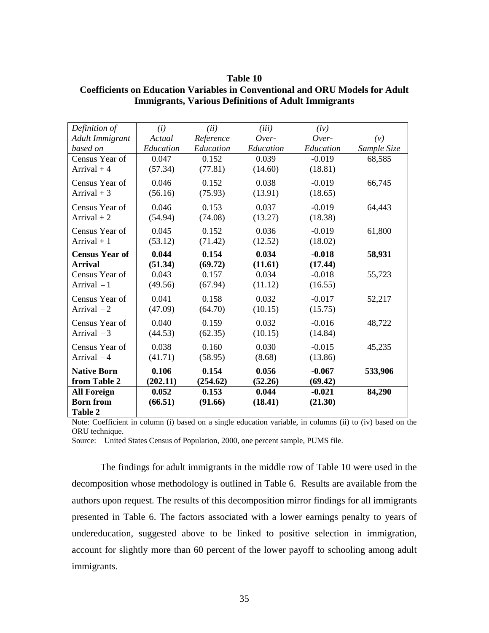#### **Table 10**

| <b>Coefficients on Education Variables in Conventional and ORU Models for Adult</b> |
|-------------------------------------------------------------------------------------|
| <b>Immigrants, Various Definitions of Adult Immigrants</b>                          |

| Definition of         | (i)       | (ii)      | (iii)     | (iv)      |             |
|-----------------------|-----------|-----------|-----------|-----------|-------------|
| Adult Immigrant       | Actual    | Reference | Over-     | Over-     | (v)         |
| based on              | Education | Education | Education | Education | Sample Size |
| Census Year of        | 0.047     | 0.152     | 0.039     | $-0.019$  | 68,585      |
| Arrival $+4$          | (57.34)   | (77.81)   | (14.60)   | (18.81)   |             |
| Census Year of        | 0.046     | 0.152     | 0.038     | $-0.019$  | 66,745      |
| Arrival $+3$          | (56.16)   | (75.93)   | (13.91)   | (18.65)   |             |
| Census Year of        | 0.046     | 0.153     | 0.037     | $-0.019$  | 64,443      |
| Arrival $+2$          | (54.94)   | (74.08)   | (13.27)   | (18.38)   |             |
| Census Year of        | 0.045     | 0.152     | 0.036     | $-0.019$  | 61,800      |
| Arrival $+1$          | (53.12)   | (71.42)   | (12.52)   | (18.02)   |             |
| <b>Census Year of</b> | 0.044     | 0.154     | 0.034     | $-0.018$  | 58,931      |
| <b>Arrival</b>        | (51.34)   | (69.72)   | (11.61)   | (17.44)   |             |
| Census Year of        | 0.043     | 0.157     | 0.034     | $-0.018$  | 55,723      |
| Arrival – 1           | (49.56)   | (67.94)   | (11.12)   | (16.55)   |             |
| Census Year of        | 0.041     | 0.158     | 0.032     | $-0.017$  | 52,217      |
| Arrival $-2$          | (47.09)   | (64.70)   | (10.15)   | (15.75)   |             |
| Census Year of        | 0.040     | 0.159     | 0.032     | $-0.016$  | 48,722      |
| Arrival $-3$          | (44.53)   | (62.35)   | (10.15)   | (14.84)   |             |
| Census Year of        | 0.038     | 0.160     | 0.030     | $-0.015$  | 45,235      |
| Arrival $-4$          | (41.71)   | (58.95)   | (8.68)    | (13.86)   |             |
| <b>Native Born</b>    | 0.106     | 0.154     | 0.056     | $-0.067$  | 533,906     |
| from Table 2          | (202.11)  | (254.62)  | (52.26)   | (69.42)   |             |
| <b>All Foreign</b>    | 0.052     | 0.153     | 0.044     | $-0.021$  | 84,290      |
| <b>Born from</b>      | (66.51)   | (91.66)   | (18.41)   | (21.30)   |             |
| <b>Table 2</b>        |           |           |           |           |             |

Note: Coefficient in column (i) based on a single education variable, in columns (ii) to (iv) based on the ORU technique.

Source: United States Census of Population, 2000, one percent sample, PUMS file.

The findings for adult immigrants in the middle row of Table 10 were used in the decomposition whose methodology is outlined in Table 6. Results are available from the authors upon request. The results of this decomposition mirror findings for all immigrants presented in Table 6. The factors associated with a lower earnings penalty to years of undereducation, suggested above to be linked to positive selection in immigration, account for slightly more than 60 percent of the lower payoff to schooling among adult immigrants.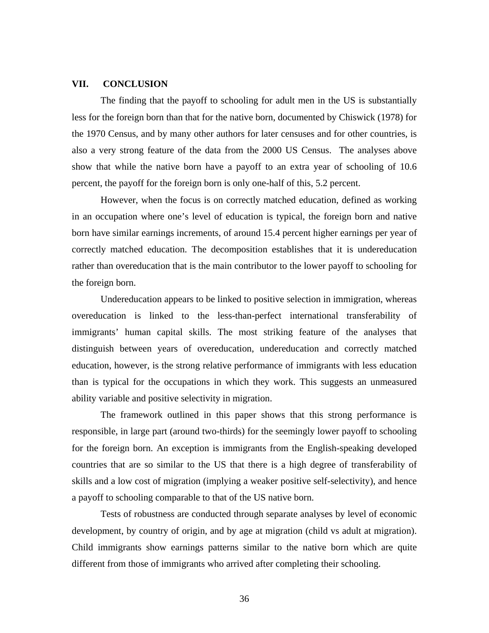### **VII. CONCLUSION**

 The finding that the payoff to schooling for adult men in the US is substantially less for the foreign born than that for the native born, documented by Chiswick (1978) for the 1970 Census, and by many other authors for later censuses and for other countries, is also a very strong feature of the data from the 2000 US Census. The analyses above show that while the native born have a payoff to an extra year of schooling of 10.6 percent, the payoff for the foreign born is only one-half of this, 5.2 percent.

However, when the focus is on correctly matched education, defined as working in an occupation where one's level of education is typical, the foreign born and native born have similar earnings increments, of around 15.4 percent higher earnings per year of correctly matched education. The decomposition establishes that it is undereducation rather than overeducation that is the main contributor to the lower payoff to schooling for the foreign born.

Undereducation appears to be linked to positive selection in immigration, whereas overeducation is linked to the less-than-perfect international transferability of immigrants' human capital skills. The most striking feature of the analyses that distinguish between years of overeducation, undereducation and correctly matched education, however, is the strong relative performance of immigrants with less education than is typical for the occupations in which they work. This suggests an unmeasured ability variable and positive selectivity in migration.

 The framework outlined in this paper shows that this strong performance is responsible, in large part (around two-thirds) for the seemingly lower payoff to schooling for the foreign born. An exception is immigrants from the English-speaking developed countries that are so similar to the US that there is a high degree of transferability of skills and a low cost of migration (implying a weaker positive self-selectivity), and hence a payoff to schooling comparable to that of the US native born.

 Tests of robustness are conducted through separate analyses by level of economic development, by country of origin, and by age at migration (child vs adult at migration). Child immigrants show earnings patterns similar to the native born which are quite different from those of immigrants who arrived after completing their schooling.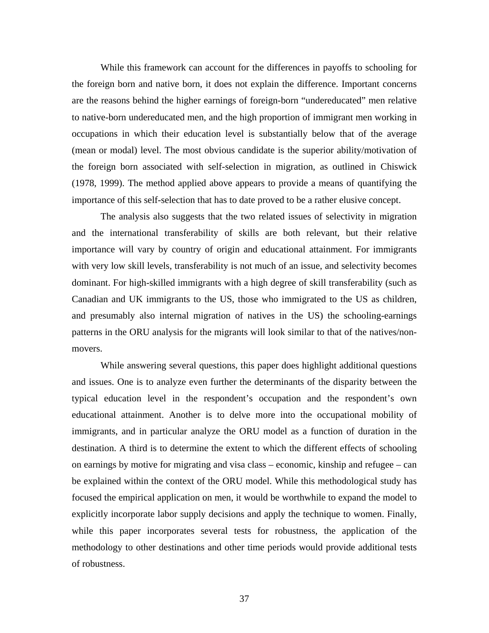While this framework can account for the differences in payoffs to schooling for the foreign born and native born, it does not explain the difference. Important concerns are the reasons behind the higher earnings of foreign-born "undereducated" men relative to native-born undereducated men, and the high proportion of immigrant men working in occupations in which their education level is substantially below that of the average (mean or modal) level. The most obvious candidate is the superior ability/motivation of the foreign born associated with self-selection in migration, as outlined in Chiswick (1978, 1999). The method applied above appears to provide a means of quantifying the importance of this self-selection that has to date proved to be a rather elusive concept.

The analysis also suggests that the two related issues of selectivity in migration and the international transferability of skills are both relevant, but their relative importance will vary by country of origin and educational attainment. For immigrants with very low skill levels, transferability is not much of an issue, and selectivity becomes dominant. For high-skilled immigrants with a high degree of skill transferability (such as Canadian and UK immigrants to the US, those who immigrated to the US as children, and presumably also internal migration of natives in the US) the schooling-earnings patterns in the ORU analysis for the migrants will look similar to that of the natives/nonmovers.

 While answering several questions, this paper does highlight additional questions and issues. One is to analyze even further the determinants of the disparity between the typical education level in the respondent's occupation and the respondent's own educational attainment. Another is to delve more into the occupational mobility of immigrants, and in particular analyze the ORU model as a function of duration in the destination. A third is to determine the extent to which the different effects of schooling on earnings by motive for migrating and visa class – economic, kinship and refugee – can be explained within the context of the ORU model. While this methodological study has focused the empirical application on men, it would be worthwhile to expand the model to explicitly incorporate labor supply decisions and apply the technique to women. Finally, while this paper incorporates several tests for robustness, the application of the methodology to other destinations and other time periods would provide additional tests of robustness.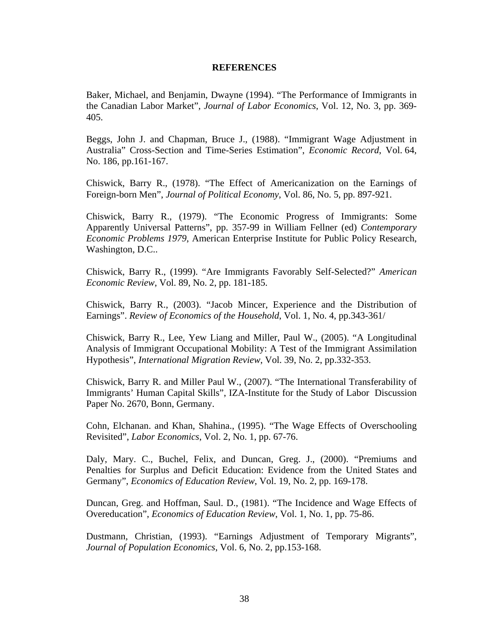#### **REFERENCES**

Baker, Michael, and Benjamin, Dwayne (1994). "The Performance of Immigrants in the Canadian Labor Market", *Journal of Labor Economics*, Vol. 12, No. 3, pp. 369- 405.

Beggs, John J. and Chapman, Bruce J., (1988). "Immigrant Wage Adjustment in Australia" Cross-Section and Time-Series Estimation", *Economic Record*, Vol. 64, No. 186, pp.161-167.

Chiswick, Barry R., (1978). "The Effect of Americanization on the Earnings of Foreign-born Men", *Journal of Political Economy*, Vol. 86, No. 5, pp. 897-921.

Chiswick, Barry R., (1979). "The Economic Progress of Immigrants: Some Apparently Universal Patterns", pp. 357-99 in William Fellner (ed) *Contemporary Economic Problems 1979*, American Enterprise Institute for Public Policy Research, Washington, D.C..

Chiswick, Barry R., (1999). "Are Immigrants Favorably Self-Selected?" *American Economic Review*, Vol. 89, No. 2, pp. 181-185.

Chiswick, Barry R., (2003). "Jacob Mincer, Experience and the Distribution of Earnings". *Review of Economics of the Household*, Vol. 1, No. 4, pp.343-361/

Chiswick, Barry R., Lee, Yew Liang and Miller, Paul W., (2005). "A Longitudinal Analysis of Immigrant Occupational Mobility: A Test of the Immigrant Assimilation Hypothesis", *International Migration Review*, Vol. 39, No. 2, pp.332-353.

Chiswick, Barry R. and Miller Paul W., (2007). "The International Transferability of Immigrants' Human Capital Skills", IZA-Institute for the Study of Labor Discussion Paper No. 2670, Bonn, Germany.

Cohn, Elchanan. and Khan, Shahina., (1995). "The Wage Effects of Overschooling Revisited", *Labor Economics*, Vol. 2, No. 1, pp. 67-76.

Daly, Mary. C., Buchel, Felix, and Duncan, Greg. J., (2000). "Premiums and Penalties for Surplus and Deficit Education: Evidence from the United States and Germany", *Economics of Education Review*, Vol. 19, No. 2, pp. 169-178.

Duncan, Greg. and Hoffman, Saul. D., (1981). "The Incidence and Wage Effects of Overeducation", *Economics of Education Review*, Vol. 1, No. 1, pp. 75-86.

Dustmann, Christian, (1993). "Earnings Adjustment of Temporary Migrants", *Journal of Population Economics*, Vol. 6, No. 2, pp.153-168.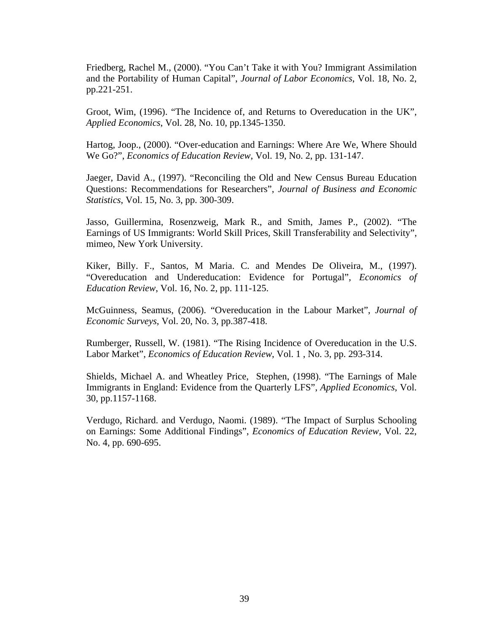Friedberg, Rachel M., (2000). "You Can't Take it with You? Immigrant Assimilation and the Portability of Human Capital", *Journal of Labor Economics*, Vol. 18, No. 2, pp.221-251.

Groot, Wim, (1996). "The Incidence of, and Returns to Overeducation in the UK", *Applied Economics*, Vol. 28, No. 10, pp.1345-1350.

Hartog, Joop., (2000). "Over-education and Earnings: Where Are We, Where Should We Go?", *Economics of Education Review*, Vol. 19, No. 2, pp. 131-147.

Jaeger, David A., (1997). "Reconciling the Old and New Census Bureau Education Questions: Recommendations for Researchers", *Journal of Business and Economic Statistics*, Vol. 15, No. 3, pp. 300-309.

Jasso, Guillermina, Rosenzweig, Mark R., and Smith, James P., (2002). "The Earnings of US Immigrants: World Skill Prices, Skill Transferability and Selectivity", mimeo, New York University.

Kiker, Billy. F., Santos, M Maria. C. and Mendes De Oliveira, M., (1997). "Overeducation and Undereducation: Evidence for Portugal", *Economics of Education Review*, Vol. 16, No. 2, pp. 111-125.

McGuinness, Seamus, (2006). "Overeducation in the Labour Market", *Journal of Economic Surveys*, Vol. 20, No. 3, pp.387-418.

Rumberger, Russell, W. (1981). "The Rising Incidence of Overeducation in the U.S. Labor Market", *Economics of Education Review*, Vol. 1 , No. 3, pp. 293-314.

Shields, Michael A. and Wheatley Price, Stephen, (1998). "The Earnings of Male Immigrants in England: Evidence from the Quarterly LFS", *Applied Economics*, Vol. 30, pp.1157-1168.

Verdugo, Richard. and Verdugo, Naomi. (1989). "The Impact of Surplus Schooling on Earnings: Some Additional Findings", *Economics of Education Review,* Vol. 22, No. 4, pp. 690-695.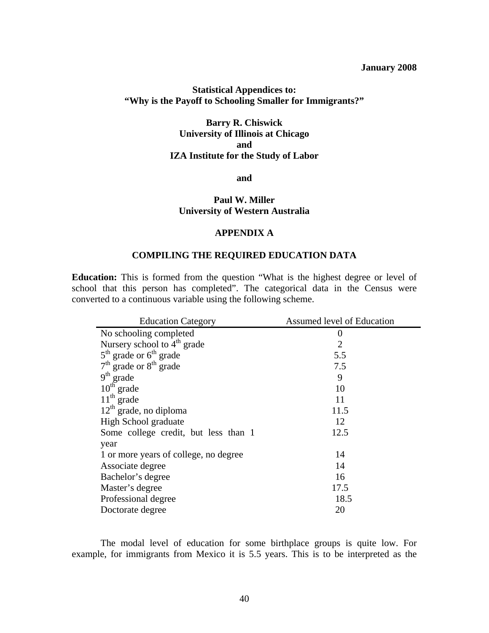### **Statistical Appendices to: "Why is the Payoff to Schooling Smaller for Immigrants?"**

## **Barry R. Chiswick University of Illinois at Chicago and IZA Institute for the Study of Labor**

**and** 

### **Paul W. Miller University of Western Australia**

#### **APPENDIX A**

### **COMPILING THE REQUIRED EDUCATION DATA**

**Education:** This is formed from the question "What is the highest degree or level of school that this person has completed". The categorical data in the Census were converted to a continuous variable using the following scheme.

| <b>Education Category</b>               | Assumed level of Education |
|-----------------------------------------|----------------------------|
| No schooling completed                  | $\theta$                   |
| Nursery school to 4 <sup>th</sup> grade | $\overline{2}$             |
| $5th$ grade or $6th$ grade              | 5.5                        |
| $7th$ grade or $8th$ grade              | 7.5                        |
| 9 <sup>th</sup><br>grade                | 9                          |
| $10^{th}$ grade                         | 10                         |
| $11th$ grade                            | 11                         |
| $12th$ grade, no diploma                | 11.5                       |
| High School graduate                    | 12                         |
| Some college credit, but less than 1    | 12.5                       |
| year                                    |                            |
| 1 or more years of college, no degree   | 14                         |
| Associate degree                        | 14                         |
| Bachelor's degree                       | 16                         |
| Master's degree                         | 17.5                       |
| Professional degree                     | 18.5                       |
| Doctorate degree                        | 20                         |

 The modal level of education for some birthplace groups is quite low. For example, for immigrants from Mexico it is 5.5 years. This is to be interpreted as the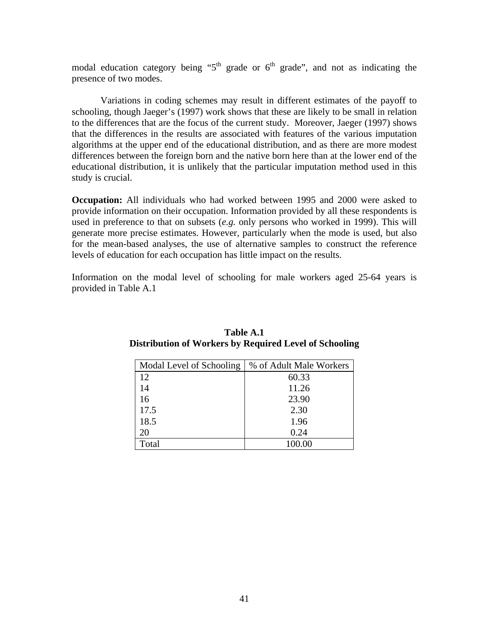modal education category being "5<sup>th</sup> grade or  $6<sup>th</sup>$  grade", and not as indicating the presence of two modes.

 Variations in coding schemes may result in different estimates of the payoff to schooling, though Jaeger's (1997) work shows that these are likely to be small in relation to the differences that are the focus of the current study. Moreover, Jaeger (1997) shows that the differences in the results are associated with features of the various imputation algorithms at the upper end of the educational distribution, and as there are more modest differences between the foreign born and the native born here than at the lower end of the educational distribution, it is unlikely that the particular imputation method used in this study is crucial.

**Occupation:** All individuals who had worked between 1995 and 2000 were asked to provide information on their occupation. Information provided by all these respondents is used in preference to that on subsets (*e.g.* only persons who worked in 1999). This will generate more precise estimates. However, particularly when the mode is used, but also for the mean-based analyses, the use of alternative samples to construct the reference levels of education for each occupation has little impact on the results.

Information on the modal level of schooling for male workers aged 25-64 years is provided in Table A.1

| Modal Level of Schooling | % of Adult Male Workers |
|--------------------------|-------------------------|
| 12                       | 60.33                   |
| 14                       | 11.26                   |
| 16                       | 23.90                   |
| 17.5                     | 2.30                    |
| 18.5                     | 1.96                    |
| 20                       | 0.24                    |
| Total                    | 100.00                  |

### **Table A.1 Distribution of Workers by Required Level of Schooling**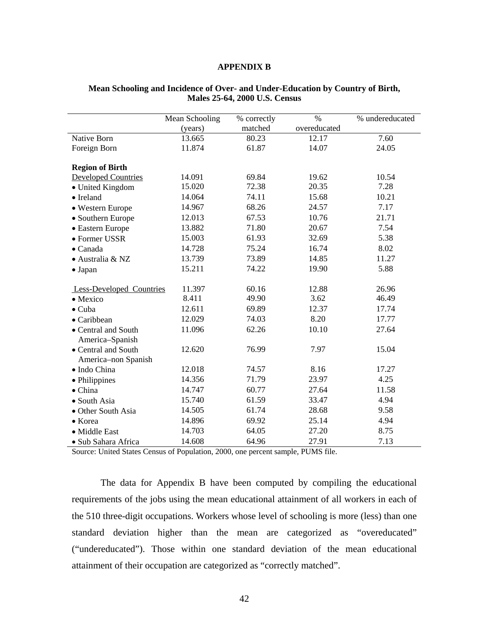#### **APPENDIX B**

|                                 | Mean Schooling | % correctly | $\%$         | % undereducated |
|---------------------------------|----------------|-------------|--------------|-----------------|
|                                 | (years)        | matched     | overeducated |                 |
| Native Born                     | 13.665         | 80.23       | 12.17        | 7.60            |
| Foreign Born                    | 11.874         | 61.87       | 14.07        | 24.05           |
|                                 |                |             |              |                 |
| <b>Region of Birth</b>          |                |             |              |                 |
| <b>Developed Countries</b>      | 14.091         | 69.84       | 19.62        | 10.54           |
| • United Kingdom                | 15.020         | 72.38       | 20.35        | 7.28            |
| • Ireland                       | 14.064         | 74.11       | 15.68        | 10.21           |
| • Western Europe                | 14.967         | 68.26       | 24.57        | 7.17            |
| • Southern Europe               | 12.013         | 67.53       | 10.76        | 21.71           |
| • Eastern Europe                | 13.882         | 71.80       | 20.67        | 7.54            |
| • Former USSR                   | 15.003         | 61.93       | 32.69        | 5.38            |
| $\bullet$ Canada                | 14.728         | 75.24       | 16.74        | 8.02            |
| · Australia & NZ                | 13.739         | 73.89       | 14.85        | 11.27           |
| • Japan                         | 15.211         | 74.22       | 19.90        | 5.88            |
|                                 |                |             |              |                 |
| <b>Less-Developed Countries</b> | 11.397         | 60.16       | 12.88        | 26.96           |
| • Mexico                        | 8.411          | 49.90       | 3.62         | 46.49           |
| $\bullet$ Cuba                  | 12.611         | 69.89       | 12.37        | 17.74           |
| • Caribbean                     | 12.029         | 74.03       | 8.20         | 17.77           |
| • Central and South             | 11.096         | 62.26       | 10.10        | 27.64           |
| America-Spanish                 |                |             |              |                 |
| • Central and South             | 12.620         | 76.99       | 7.97         | 15.04           |
| America-non Spanish             |                |             |              |                 |
| · Indo China                    | 12.018         | 74.57       | 8.16         | 17.27           |
| • Philippines                   | 14.356         | 71.79       | 23.97        | 4.25            |
| $\bullet$ China                 | 14.747         | 60.77       | 27.64        | 11.58           |
| • South Asia                    | 15.740         | 61.59       | 33.47        | 4.94            |
| • Other South Asia              | 14.505         | 61.74       | 28.68        | 9.58            |
| • Korea                         | 14.896         | 69.92       | 25.14        | 4.94            |
| • Middle East                   | 14.703         | 64.05       | 27.20        | 8.75            |
| · Sub Sahara Africa             | 14.608         | 64.96       | 27.91        | 7.13            |

#### **Mean Schooling and Incidence of Over- and Under-Education by Country of Birth, Males 25-64, 2000 U.S. Census**

Source: United States Census of Population, 2000, one percent sample, PUMS file.

 The data for Appendix B have been computed by compiling the educational requirements of the jobs using the mean educational attainment of all workers in each of the 510 three-digit occupations. Workers whose level of schooling is more (less) than one standard deviation higher than the mean are categorized as "overeducated" ("undereducated"). Those within one standard deviation of the mean educational attainment of their occupation are categorized as "correctly matched".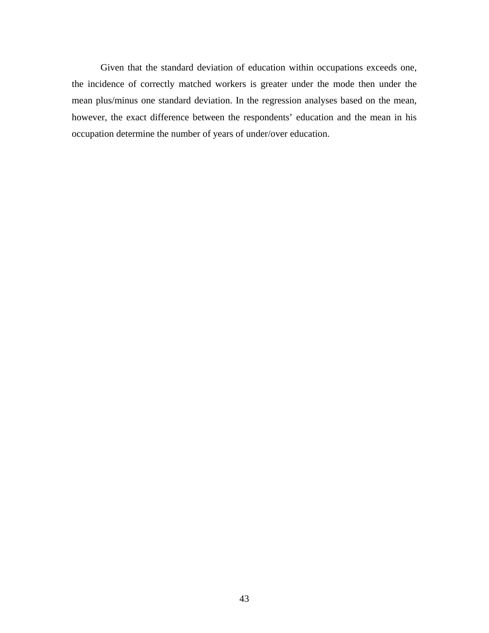Given that the standard deviation of education within occupations exceeds one, the incidence of correctly matched workers is greater under the mode then under the mean plus/minus one standard deviation. In the regression analyses based on the mean, however, the exact difference between the respondents' education and the mean in his occupation determine the number of years of under/over education.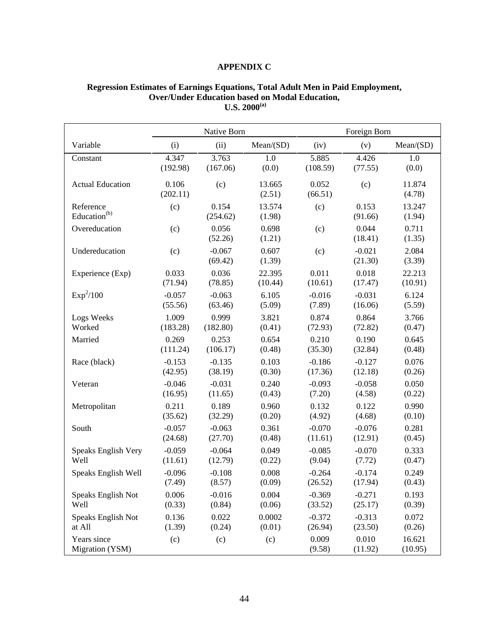## **APPENDIX C**

|                                       | Native Born       |                     |                  | Foreign Born     |                     |                   |
|---------------------------------------|-------------------|---------------------|------------------|------------------|---------------------|-------------------|
| Variable                              | (i)               | (ii)                | Mean(SD)         | (iv)             | (v)                 | Mean(SD)          |
| Constant                              | 4.347             | 3.763               | 1.0              | 5.885            | 4.426               | 1.0               |
|                                       | (192.98)          | (167.06)            | (0.0)            | (108.59)         | (77.55)             | (0.0)             |
| <b>Actual Education</b>               | 0.106<br>(202.11) | (c)                 | 13.665<br>(2.51) | 0.052<br>(66.51) | (c)                 | 11.874<br>(4.78)  |
| Reference<br>Education <sup>(b)</sup> | (c)               | 0.154<br>(254.62)   | 13.574<br>(1.98) | (c)              | 0.153<br>(91.66)    | 13.247<br>(1.94)  |
| Overeducation                         | (c)               | 0.056<br>(52.26)    | 0.698<br>(1.21)  | (c)              | 0.044<br>(18.41)    | 0.711<br>(1.35)   |
| Undereducation                        | (c)               | $-0.067$<br>(69.42) | 0.607<br>(1.39)  | (c)              | $-0.021$<br>(21.30) | 2.084<br>(3.39)   |
| Experience (Exp)                      | 0.033             | 0.036               | 22.395           | 0.011            | 0.018               | 22.213            |
|                                       | (71.94)           | (78.85)             | (10.44)          | (10.61)          | (17.47)             | (10.91)           |
| Exp <sup>2</sup> /100                 | $-0.057$          | $-0.063$            | 6.105            | $-0.016$         | $-0.031$            | 6.124             |
|                                       | (55.56)           | (63.46)             | (5.09)           | (7.89)           | (16.06)             | (5.59)            |
| Logs Weeks                            | 1.009             | 0.999               | 3.821            | 0.874            | 0.864               | 3.766             |
| Worked                                | (183.28)          | (182.80)            | (0.41)           | (72.93)          | (72.82)             | (0.47)            |
| Married                               | 0.269             | 0.253               | 0.654            | 0.210            | 0.190               | 0.645             |
|                                       | (111.24)          | (106.17)            | (0.48)           | (35.30)          | (32.84)             | (0.48)            |
| Race (black)                          | $-0.153$          | $-0.135$            | 0.103            | $-0.186$         | $-0.127$            | 0.076             |
|                                       | (42.95)           | (38.19)             | (0.30)           | (17.36)          | (12.18)             | (0.26)            |
| Veteran                               | $-0.046$          | $-0.031$            | 0.240            | $-0.093$         | $-0.058$            | 0.050             |
|                                       | (16.95)           | (11.65)             | (0.43)           | (7.20)           | (4.58)              | (0.22)            |
| Metropolitan                          | 0.211             | 0.189               | 0.960            | 0.132            | 0.122               | 0.990             |
|                                       | (35.62)           | (32.29)             | (0.20)           | (4.92)           | (4.68)              | (0.10)            |
| South                                 | $-0.057$          | $-0.063$            | 0.361            | $-0.070$         | $-0.076$            | 0.281             |
|                                       | (24.68)           | (27.70)             | (0.48)           | (11.61)          | (12.91)             | (0.45)            |
| Speaks English Very                   | $-0.059$          | $-0.064$            | 0.049            | $-0.085$         | $-0.070$            | 0.333             |
| Well                                  | (11.61)           | (12.79)             | (0.22)           | (9.04)           | (7.72)              | (0.47)            |
| Speaks English Well                   | $-0.096$          | $-0.108$            | 0.008            | $-0.264$         | $-0.174$            | 0.249             |
|                                       | (7.49)            | (8.57)              | (0.09)           | (26.52)          | (17.94)             | (0.43)            |
| Speaks English Not                    | 0.006             | $-0.016$            | 0.004            | $-0.369$         | $-0.271$            | 0.193             |
| Well                                  | (0.33)            | (0.84)              | (0.06)           | (33.52)          | (25.17)             | (0.39)            |
| Speaks English Not                    | 0.136             | 0.022               | 0.0002           | $-0.372$         | $-0.313$            | 0.072             |
| at All                                | (1.39)            | (0.24)              | (0.01)           | (26.94)          | (23.50)             | (0.26)            |
| Years since<br>Migration (YSM)        | (c)               | (c)                 | (c)              | 0.009<br>(9.58)  | 0.010<br>(11.92)    | 16.621<br>(10.95) |

#### **Regression Estimates of Earnings Equations, Total Adult Men in Paid Employment, Over/Under Education based on Modal Education, U.S. 2000(a)**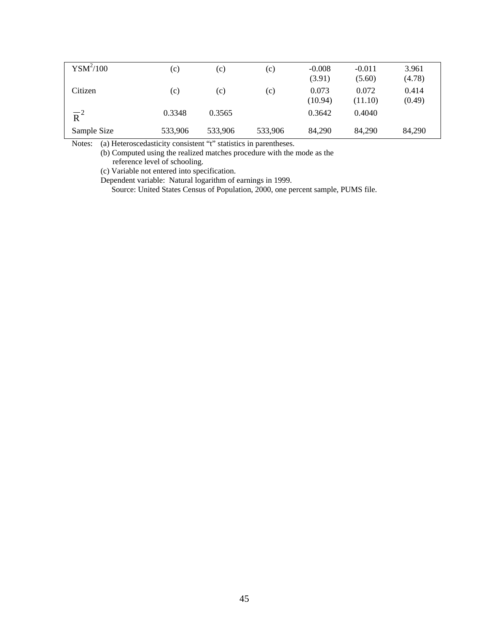| $YSM^2/100$      | (c)     | (c)     | (c)                        | $-0.008$ | $-0.011$ | 3.961  |
|------------------|---------|---------|----------------------------|----------|----------|--------|
|                  |         |         |                            | (3.91)   | (5.60)   | (4.78) |
| Citizen          | (c)     | (c)     | $\left( \mathrm{c}\right)$ | 0.073    | 0.072    | 0.414  |
|                  |         |         |                            | (10.94)  | (11.10)  | (0.49) |
| $\overline{R}^2$ | 0.3348  | 0.3565  |                            | 0.3642   | 0.4040   |        |
| Sample Size      | 533,906 | 533,906 | 533,906                    | 84,290   | 84,290   | 84,290 |

Notes: (a) Heteroscedasticity consistent "t" statistics in parentheses.

(b) Computed using the realized matches procedure with the mode as the reference level of schooling.

(c) Variable not entered into specification.

Dependent variable: Natural logarithm of earnings in 1999.

Source: United States Census of Population, 2000, one percent sample, PUMS file.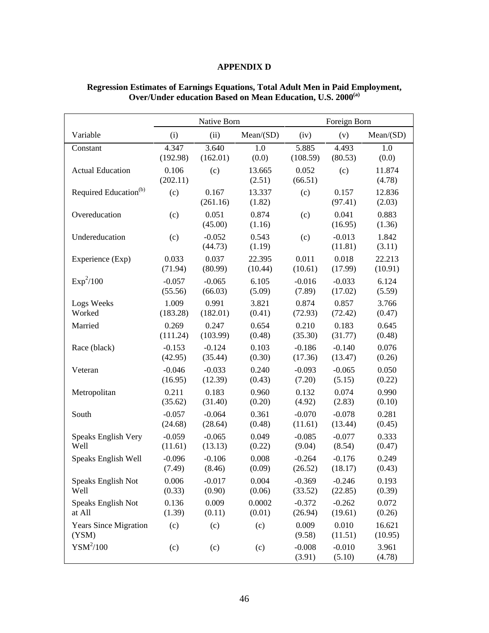# **APPENDIX D**

|                                       | Native Born       |                     | Foreign Born     |                    |                     |                   |
|---------------------------------------|-------------------|---------------------|------------------|--------------------|---------------------|-------------------|
| Variable                              | (i)               | (ii)                | Mean(SD)         | (iv)               | (v)                 | Mean(SD)          |
| Constant                              | 4.347             | 3.640               | 1.0              | 5.885              | 4.493               | 1.0               |
|                                       | (192.98)          | (162.01)            | (0.0)            | (108.59)           | (80.53)             | (0.0)             |
| <b>Actual Education</b>               | 0.106<br>(202.11) | (c)                 | 13.665<br>(2.51) | 0.052<br>(66.51)   | (c)                 | 11.874<br>(4.78)  |
| Required Education <sup>(b)</sup>     | (c)               | 0.167<br>(261.16)   | 13.337<br>(1.82) | (c)                | 0.157<br>(97.41)    | 12.836<br>(2.03)  |
| Overeducation                         | (c)               | 0.051<br>(45.00)    | 0.874<br>(1.16)  | (c)                | 0.041<br>(16.95)    | 0.883<br>(1.36)   |
| Undereducation                        | (c)               | $-0.052$<br>(44.73) | 0.543<br>(1.19)  | (c)                | $-0.013$<br>(11.81) | 1.842<br>(3.11)   |
| Experience (Exp)                      | 0.033             | 0.037               | 22.395           | 0.011              | 0.018               | 22.213            |
|                                       | (71.94)           | (80.99)             | (10.44)          | (10.61)            | (17.99)             | (10.91)           |
| Exp <sup>2</sup> /100                 | $-0.057$          | $-0.065$            | 6.105            | $-0.016$           | $-0.033$            | 6.124             |
|                                       | (55.56)           | (66.03)             | (5.09)           | (7.89)             | (17.02)             | (5.59)            |
| Logs Weeks                            | 1.009             | 0.991               | 3.821            | 0.874              | 0.857               | 3.766             |
| Worked                                | (183.28)          | (182.01)            | (0.41)           | (72.93)            | (72.42)             | (0.47)            |
| Married                               | 0.269             | 0.247               | 0.654            | 0.210              | 0.183               | 0.645             |
|                                       | (111.24)          | (103.99)            | (0.48)           | (35.30)            | (31.77)             | (0.48)            |
| Race (black)                          | $-0.153$          | $-0.124$            | 0.103            | $-0.186$           | $-0.140$            | 0.076             |
|                                       | (42.95)           | (35.44)             | (0.30)           | (17.36)            | (13.47)             | (0.26)            |
| Veteran                               | $-0.046$          | $-0.033$            | 0.240            | $-0.093$           | $-0.065$            | 0.050             |
|                                       | (16.95)           | (12.39)             | (0.43)           | (7.20)             | (5.15)              | (0.22)            |
| Metropolitan                          | 0.211             | 0.183               | 0.960            | 0.132              | 0.074               | 0.990             |
|                                       | (35.62)           | (31.40)             | (0.20)           | (4.92)             | (2.83)              | (0.10)            |
| South                                 | $-0.057$          | $-0.064$            | 0.361            | $-0.070$           | $-0.078$            | 0.281             |
|                                       | (24.68)           | (28.64)             | (0.48)           | (11.61)            | (13.44)             | (0.45)            |
| Speaks English Very                   | $-0.059$          | $-0.065$            | 0.049            | $-0.085$           | $-0.077$            | 0.333             |
| Well                                  | (11.61)           | (13.13)             | (0.22)           | (9.04)             | (8.54)              | (0.47)            |
| Speaks English Well                   | $-0.096$          | $-0.106$            | 0.008            | $-0.264$           | $-0.176$            | 0.249             |
|                                       | (7.49)            | (8.46)              | (0.09)           | (26.52)            | (18.17)             | (0.43)            |
| Speaks English Not                    | 0.006             | $-0.017$            | 0.004            | $-0.369$           | $-0.246$            | 0.193             |
| Well                                  | (0.33)            | (0.90)              | (0.06)           | (33.52)            | (22.85)             | (0.39)            |
| Speaks English Not                    | 0.136             | 0.009               | 0.0002           | $-0.372$           | $-0.262$            | 0.072             |
| at All                                | (1.39)            | (0.11)              | (0.01)           | (26.94)            | (19.61)             | (0.26)            |
| <b>Years Since Migration</b><br>(YSM) | (c)               | (c)                 | (c)              | 0.009<br>(9.58)    | 0.010<br>(11.51)    | 16.621<br>(10.95) |
| $YSM^2/100$                           | (c)               | (c)                 | (c)              | $-0.008$<br>(3.91) | $-0.010$<br>(5.10)  | 3.961<br>(4.78)   |

#### **Regression Estimates of Earnings Equations, Total Adult Men in Paid Employment, Over/Under education Based on Mean Education, U.S. 2000(a)**